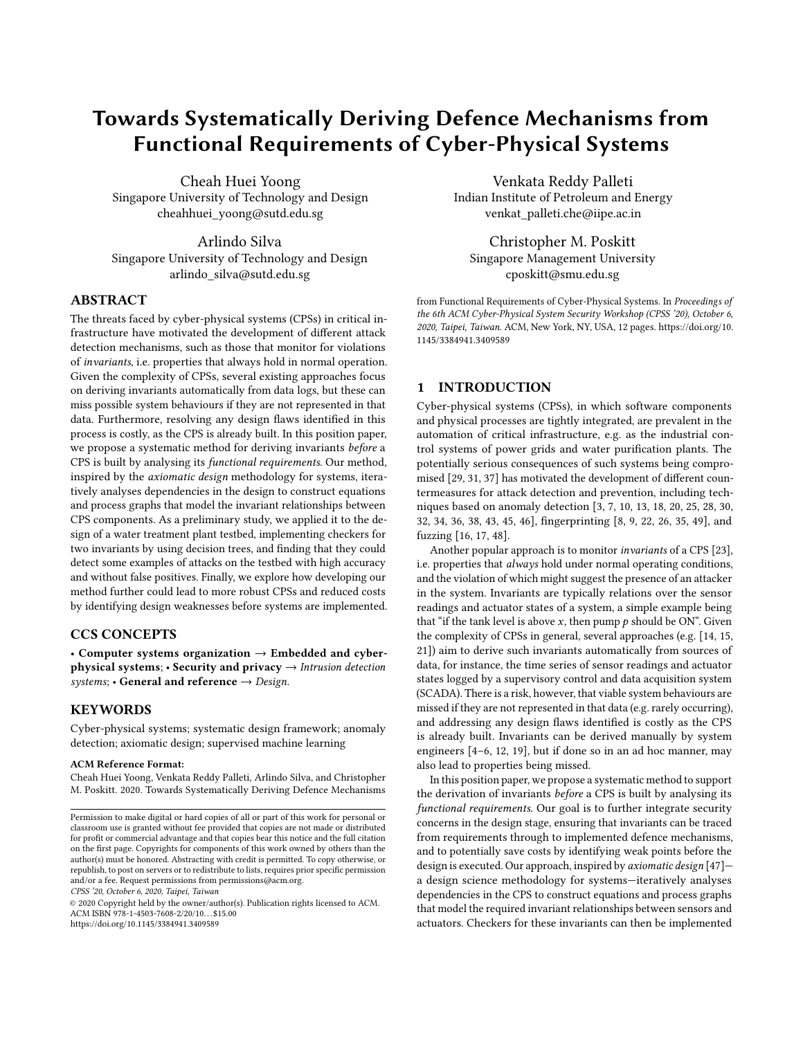# Towards Systematically Deriving Defence Mechanisms from Functional Requirements of Cyber-Physical Systems

Cheah Huei Yoong Singapore University of Technology and Design cheahhuei\_yoong@sutd.edu.sg

Arlindo Silva Singapore University of Technology and Design arlindo\_silva@sutd.edu.sg

# ABSTRACT

The threats faced by cyber-physical systems (CPSs) in critical infrastructure have motivated the development of different attack detection mechanisms, such as those that monitor for violations of invariants, i.e. properties that always hold in normal operation. Given the complexity of CPSs, several existing approaches focus on deriving invariants automatically from data logs, but these can miss possible system behaviours if they are not represented in that data. Furthermore, resolving any design flaws identified in this process is costly, as the CPS is already built. In this position paper, we propose a systematic method for deriving invariants before a CPS is built by analysing its functional requirements. Our method, inspired by the axiomatic design methodology for systems, iteratively analyses dependencies in the design to construct equations and process graphs that model the invariant relationships between CPS components. As a preliminary study, we applied it to the design of a water treatment plant testbed, implementing checkers for two invariants by using decision trees, and finding that they could detect some examples of attacks on the testbed with high accuracy and without false positives. Finally, we explore how developing our method further could lead to more robust CPSs and reduced costs by identifying design weaknesses before systems are implemented.

# CCS CONCEPTS

• Computer systems organization  $\rightarrow$  Embedded and cyberphysical systems; • Security and privacy  $\rightarrow$  Intrusion detection systems; • General and reference  $\rightarrow$  Design.

# **KEYWORDS**

Cyber-physical systems; systematic design framework; anomaly detection; axiomatic design; supervised machine learning

#### ACM Reference Format:

Cheah Huei Yoong, Venkata Reddy Palleti, Arlindo Silva, and Christopher M. Poskitt. 2020. Towards Systematically Deriving Defence Mechanisms

CPSS '20, October 6, 2020, Taipei, Taiwan

© 2020 Copyright held by the owner/author(s). Publication rights licensed to ACM. ACM ISBN 978-1-4503-7608-2/20/10. . . \$15.00 <https://doi.org/10.1145/3384941.3409589>

Venkata Reddy Palleti Indian Institute of Petroleum and Energy venkat\_palleti.che@iipe.ac.in

Christopher M. Poskitt Singapore Management University cposkitt@smu.edu.sg

from Functional Requirements of Cyber-Physical Systems. In Proceedings of the 6th ACM Cyber-Physical System Security Workshop (CPSS '20), October 6, 2020, Taipei, Taiwan. ACM, New York, NY, USA, [12](#page-11-0) pages. [https://doi.org/10.](https://doi.org/10.1145/3384941.3409589) [1145/3384941.3409589](https://doi.org/10.1145/3384941.3409589)

# 1 INTRODUCTION

Cyber-physical systems (CPSs), in which software components and physical processes are tightly integrated, are prevalent in the automation of critical infrastructure, e.g. as the industrial control systems of power grids and water purification plants. The potentially serious consequences of such systems being compromised [\[29,](#page-10-0) [31,](#page-10-1) [37\]](#page-10-2) has motivated the development of different countermeasures for attack detection and prevention, including techniques based on anomaly detection [\[3,](#page-9-0) [7,](#page-9-1) [10,](#page-9-2) [13,](#page-9-3) [18,](#page-9-4) [20,](#page-9-5) [25,](#page-9-6) [28,](#page-10-3) [30,](#page-10-4) [32,](#page-10-5) [34,](#page-10-6) [36,](#page-10-7) [38,](#page-10-8) [43,](#page-10-9) [45,](#page-10-10) [46\]](#page-10-11), fingerprinting [\[8,](#page-9-7) [9,](#page-9-8) [22,](#page-9-9) [26,](#page-10-12) [35,](#page-10-13) [49\]](#page-10-14), and fuzzing [\[16,](#page-9-10) [17,](#page-9-11) [48\]](#page-10-15).

Another popular approach is to monitor invariants of a CPS [\[23\]](#page-9-12), i.e. properties that always hold under normal operating conditions, and the violation of which might suggest the presence of an attacker in the system. Invariants are typically relations over the sensor readings and actuator states of a system, a simple example being that "if the tank level is above  $x$ , then pump  $p$  should be ON". Given the complexity of CPSs in general, several approaches (e.g. [\[14,](#page-9-13) [15,](#page-9-14) [21\]](#page-9-15)) aim to derive such invariants automatically from sources of data, for instance, the time series of sensor readings and actuator states logged by a supervisory control and data acquisition system (SCADA). There is a risk, however, that viable system behaviours are missed if they are not represented in that data (e.g. rarely occurring), and addressing any design flaws identified is costly as the CPS is already built. Invariants can be derived manually by system engineers [\[4](#page-9-16)[–6,](#page-9-17) [12,](#page-9-18) [19\]](#page-9-19), but if done so in an ad hoc manner, may also lead to properties being missed.

In this position paper, we propose a systematic method to support the derivation of invariants before a CPS is built by analysing its functional requirements. Our goal is to further integrate security concerns in the design stage, ensuring that invariants can be traced from requirements through to implemented defence mechanisms, and to potentially save costs by identifying weak points before the design is executed. Our approach, inspired by axiomatic design [\[47\]](#page-10-16)a design science methodology for systems—iteratively analyses dependencies in the CPS to construct equations and process graphs that model the required invariant relationships between sensors and actuators. Checkers for these invariants can then be implemented

Permission to make digital or hard copies of all or part of this work for personal or classroom use is granted without fee provided that copies are not made or distributed for profit or commercial advantage and that copies bear this notice and the full citation on the first page. Copyrights for components of this work owned by others than the author(s) must be honored. Abstracting with credit is permitted. To copy otherwise, or republish, to post on servers or to redistribute to lists, requires prior specific permission and/or a fee. Request permissions from permissions@acm.org.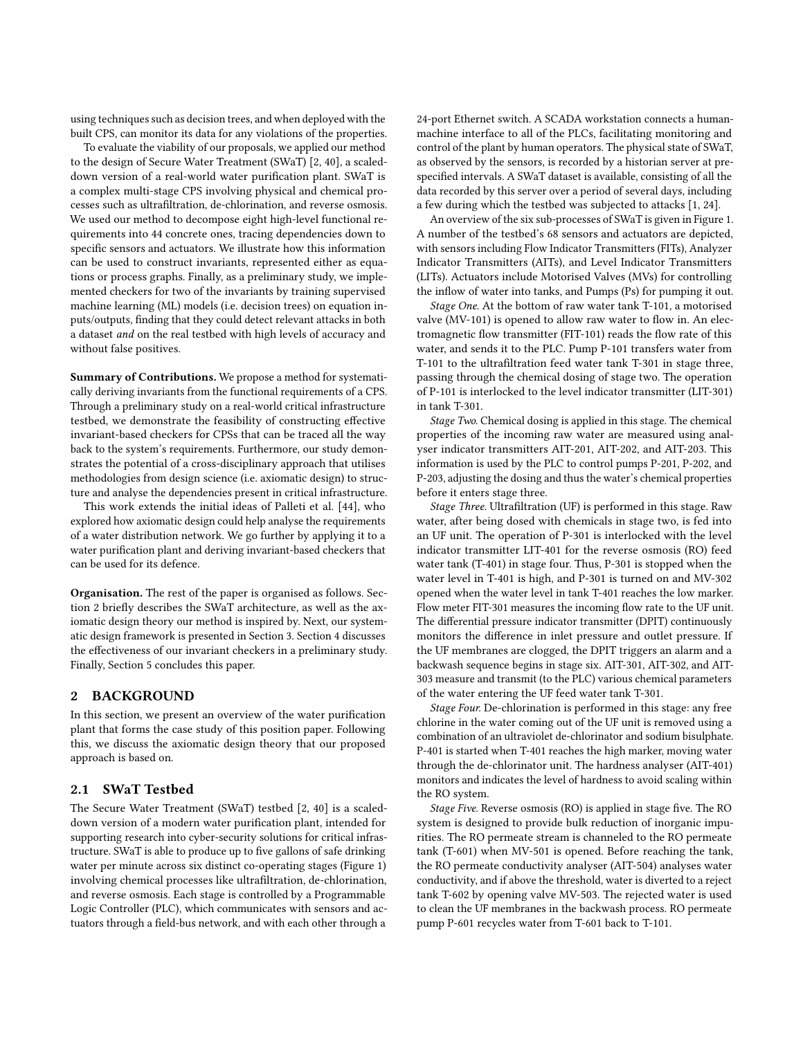using techniques such as decision trees, and when deployed with the built CPS, can monitor its data for any violations of the properties.

To evaluate the viability of our proposals, we applied our method to the design of Secure Water Treatment (SWaT) [\[2,](#page-9-20) [40\]](#page-10-17), a scaleddown version of a real-world water purification plant. SWaT is a complex multi-stage CPS involving physical and chemical processes such as ultrafiltration, de-chlorination, and reverse osmosis. We used our method to decompose eight high-level functional requirements into 44 concrete ones, tracing dependencies down to specific sensors and actuators. We illustrate how this information can be used to construct invariants, represented either as equations or process graphs. Finally, as a preliminary study, we implemented checkers for two of the invariants by training supervised machine learning (ML) models (i.e. decision trees) on equation inputs/outputs, finding that they could detect relevant attacks in both a dataset and on the real testbed with high levels of accuracy and without false positives.

Summary of Contributions. We propose a method for systematically deriving invariants from the functional requirements of a CPS. Through a preliminary study on a real-world critical infrastructure testbed, we demonstrate the feasibility of constructing effective invariant-based checkers for CPSs that can be traced all the way back to the system's requirements. Furthermore, our study demonstrates the potential of a cross-disciplinary approach that utilises methodologies from design science (i.e. axiomatic design) to structure and analyse the dependencies present in critical infrastructure.

This work extends the initial ideas of Palleti et al. [\[44\]](#page-10-18), who explored how axiomatic design could help analyse the requirements of a water distribution network. We go further by applying it to a water purification plant and deriving invariant-based checkers that can be used for its defence.

Organisation. The rest of the paper is organised as follows. Section [2](#page-1-0) briefly describes the SWaT architecture, as well as the axiomatic design theory our method is inspired by. Next, our systematic design framework is presented in Section [3.](#page-2-0) Section [4](#page-8-0) discusses the effectiveness of our invariant checkers in a preliminary study. Finally, Section [5](#page-9-21) concludes this paper.

# <span id="page-1-0"></span>2 BACKGROUND

In this section, we present an overview of the water purification plant that forms the case study of this position paper. Following this, we discuss the axiomatic design theory that our proposed approach is based on.

# 2.1 SWaT Testbed

The Secure Water Treatment (SWaT) testbed [\[2,](#page-9-20) [40\]](#page-10-17) is a scaleddown version of a modern water purification plant, intended for supporting research into cyber-security solutions for critical infrastructure. SWaT is able to produce up to five gallons of safe drinking water per minute across six distinct co-operating stages (Figure [1\)](#page-2-1) involving chemical processes like ultrafiltration, de-chlorination, and reverse osmosis. Each stage is controlled by a Programmable Logic Controller (PLC), which communicates with sensors and actuators through a field-bus network, and with each other through a

24-port Ethernet switch. A SCADA workstation connects a humanmachine interface to all of the PLCs, facilitating monitoring and control of the plant by human operators. The physical state of SWaT, as observed by the sensors, is recorded by a historian server at prespecified intervals. A SWaT dataset is available, consisting of all the data recorded by this server over a period of several days, including a few during which the testbed was subjected to attacks [\[1,](#page-9-22) [24\]](#page-9-23).

An overview of the six sub-processes of SWaT is given in Figure [1.](#page-2-1) A number of the testbed's 68 sensors and actuators are depicted, with sensors including Flow Indicator Transmitters (FITs), Analyzer Indicator Transmitters (AITs), and Level Indicator Transmitters (LITs). Actuators include Motorised Valves (MVs) for controlling the inflow of water into tanks, and Pumps (Ps) for pumping it out.

Stage One. At the bottom of raw water tank T-101, a motorised valve (MV-101) is opened to allow raw water to flow in. An electromagnetic flow transmitter (FIT-101) reads the flow rate of this water, and sends it to the PLC. Pump P-101 transfers water from T-101 to the ultrafiltration feed water tank T-301 in stage three, passing through the chemical dosing of stage two. The operation of P-101 is interlocked to the level indicator transmitter (LIT-301) in tank T-301.

Stage Two. Chemical dosing is applied in this stage. The chemical properties of the incoming raw water are measured using analyser indicator transmitters AIT-201, AIT-202, and AIT-203. This information is used by the PLC to control pumps P-201, P-202, and P-203, adjusting the dosing and thus the water's chemical properties before it enters stage three.

Stage Three. Ultrafiltration (UF) is performed in this stage. Raw water, after being dosed with chemicals in stage two, is fed into an UF unit. The operation of P-301 is interlocked with the level indicator transmitter LIT-401 for the reverse osmosis (RO) feed water tank (T-401) in stage four. Thus, P-301 is stopped when the water level in T-401 is high, and P-301 is turned on and MV-302 opened when the water level in tank T-401 reaches the low marker. Flow meter FIT-301 measures the incoming flow rate to the UF unit. The differential pressure indicator transmitter (DPIT) continuously monitors the difference in inlet pressure and outlet pressure. If the UF membranes are clogged, the DPIT triggers an alarm and a backwash sequence begins in stage six. AIT-301, AIT-302, and AIT-303 measure and transmit (to the PLC) various chemical parameters of the water entering the UF feed water tank T-301.

Stage Four. De-chlorination is performed in this stage: any free chlorine in the water coming out of the UF unit is removed using a combination of an ultraviolet de-chlorinator and sodium bisulphate. P-401 is started when T-401 reaches the high marker, moving water through the de-chlorinator unit. The hardness analyser (AIT-401) monitors and indicates the level of hardness to avoid scaling within the RO system.

Stage Five. Reverse osmosis (RO) is applied in stage five. The RO system is designed to provide bulk reduction of inorganic impurities. The RO permeate stream is channeled to the RO permeate tank (T-601) when MV-501 is opened. Before reaching the tank, the RO permeate conductivity analyser (AIT-504) analyses water conductivity, and if above the threshold, water is diverted to a reject tank T-602 by opening valve MV-503. The rejected water is used to clean the UF membranes in the backwash process. RO permeate pump P-601 recycles water from T-601 back to T-101.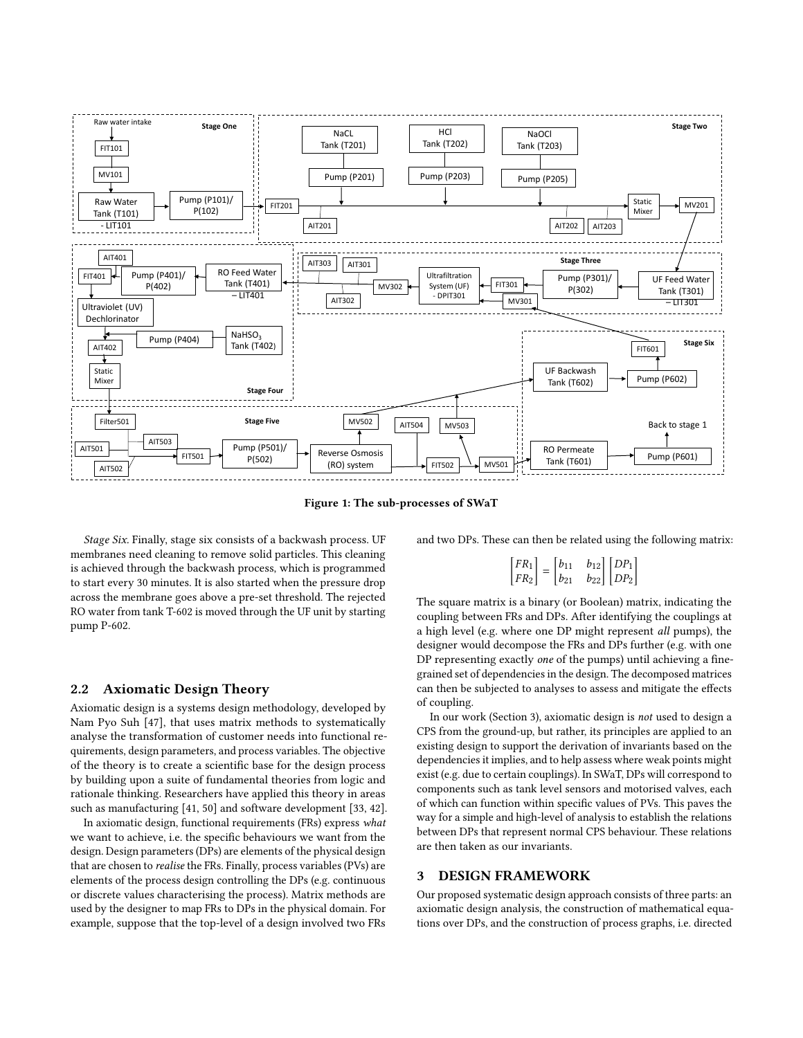<span id="page-2-1"></span>

Figure 1: The sub-processes of SWaT

Stage Six. Finally, stage six consists of a backwash process. UF membranes need cleaning to remove solid particles. This cleaning is achieved through the backwash process, which is programmed to start every 30 minutes. It is also started when the pressure drop across the membrane goes above a pre-set threshold. The rejected RO water from tank T-602 is moved through the UF unit by starting pump P-602.

## 2.2 Axiomatic Design Theory

Axiomatic design is a systems design methodology, developed by Nam Pyo Suh [\[47\]](#page-10-16), that uses matrix methods to systematically analyse the transformation of customer needs into functional requirements, design parameters, and process variables. The objective of the theory is to create a scientific base for the design process by building upon a suite of fundamental theories from logic and rationale thinking. Researchers have applied this theory in areas such as manufacturing [\[41,](#page-10-19) [50\]](#page-10-20) and software development [\[33,](#page-10-21) [42\]](#page-10-22).

In axiomatic design, functional requirements (FRs) express what we want to achieve, i.e. the specific behaviours we want from the design. Design parameters (DPs) are elements of the physical design that are chosen to realise the FRs. Finally, process variables (PVs) are elements of the process design controlling the DPs (e.g. continuous or discrete values characterising the process). Matrix methods are used by the designer to map FRs to DPs in the physical domain. For example, suppose that the top-level of a design involved two FRs and two DPs. These can then be related using the following matrix:

$$
\begin{bmatrix} FR_1 \ FR_2 \end{bmatrix} = \begin{bmatrix} b_{11} & b_{12} \\ b_{21} & b_{22} \end{bmatrix} \begin{bmatrix} DP_1 \\ DP_2 \end{bmatrix}
$$

The square matrix is a binary (or Boolean) matrix, indicating the coupling between FRs and DPs. After identifying the couplings at a high level (e.g. where one DP might represent all pumps), the designer would decompose the FRs and DPs further (e.g. with one DP representing exactly one of the pumps) until achieving a finegrained set of dependencies in the design. The decomposed matrices can then be subjected to analyses to assess and mitigate the effects of coupling.

In our work (Section [3\)](#page-2-0), axiomatic design is not used to design a CPS from the ground-up, but rather, its principles are applied to an existing design to support the derivation of invariants based on the dependencies it implies, and to help assess where weak points might exist (e.g. due to certain couplings). In SWaT, DPs will correspond to components such as tank level sensors and motorised valves, each of which can function within specific values of PVs. This paves the way for a simple and high-level of analysis to establish the relations between DPs that represent normal CPS behaviour. These relations are then taken as our invariants.

## <span id="page-2-0"></span>3 DESIGN FRAMEWORK

Our proposed systematic design approach consists of three parts: an axiomatic design analysis, the construction of mathematical equations over DPs, and the construction of process graphs, i.e. directed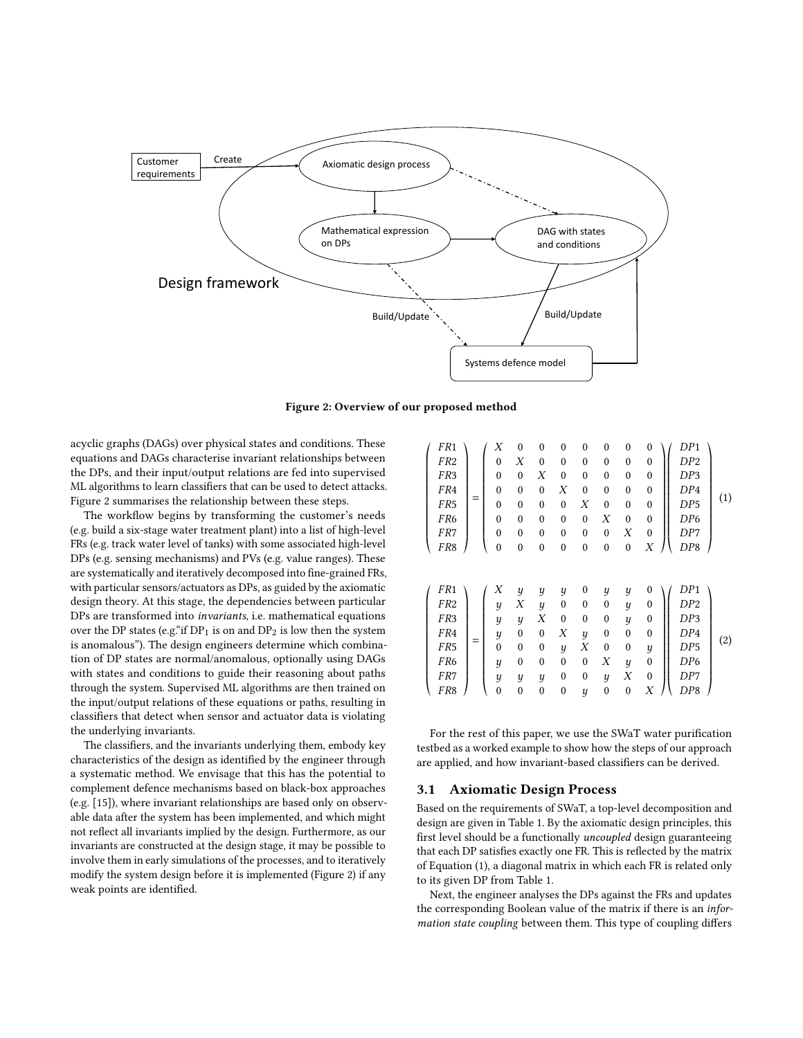<span id="page-3-0"></span>

Figure 2: Overview of our proposed method

acyclic graphs (DAGs) over physical states and conditions. These equations and DAGs characterise invariant relationships between the DPs, and their input/output relations are fed into supervised ML algorithms to learn classifiers that can be used to detect attacks. Figure [2](#page-3-0) summarises the relationship between these steps.

The workflow begins by transforming the customer's needs (e.g. build a six-stage water treatment plant) into a list of high-level FRs (e.g. track water level of tanks) with some associated high-level DPs (e.g. sensing mechanisms) and PVs (e.g. value ranges). These are systematically and iteratively decomposed into fine-grained FRs, with particular sensors/actuators as DPs, as guided by the axiomatic design theory. At this stage, the dependencies between particular DPs are transformed into invariants, i.e. mathematical equations over the DP states (e.g. "if  $DP_1$  is on and  $DP_2$  is low then the system is anomalous"). The design engineers determine which combination of DP states are normal/anomalous, optionally using DAGs with states and conditions to guide their reasoning about paths through the system. Supervised ML algorithms are then trained on the input/output relations of these equations or paths, resulting in classifiers that detect when sensor and actuator data is violating the underlying invariants.

The classifiers, and the invariants underlying them, embody key characteristics of the design as identified by the engineer through a systematic method. We envisage that this has the potential to complement defence mechanisms based on black-box approaches (e.g. [\[15\]](#page-9-14)), where invariant relationships are based only on observable data after the system has been implemented, and which might not reflect all invariants implied by the design. Furthermore, as our invariants are constructed at the design stage, it may be possible to involve them in early simulations of the processes, and to iteratively modify the system design before it is implemented (Figure [2\)](#page-3-0) if any weak points are identified.

<span id="page-3-1"></span>

| FR <sub>1</sub>                                                                                                              |     | Χ                                                          | $\boldsymbol{0}$                                                                                   | $\mathbf{0}$                                                                                                           | $\mathbf{0}$                                                                                        | $\mathbf{0}$                                                                                           | $\mathbf{0}$                                                                                     | $\mathbf{0}$                                                                                                                        | $\boldsymbol{0}$                                                                                            | DP1                                                                                      |     |
|------------------------------------------------------------------------------------------------------------------------------|-----|------------------------------------------------------------|----------------------------------------------------------------------------------------------------|------------------------------------------------------------------------------------------------------------------------|-----------------------------------------------------------------------------------------------------|--------------------------------------------------------------------------------------------------------|--------------------------------------------------------------------------------------------------|-------------------------------------------------------------------------------------------------------------------------------------|-------------------------------------------------------------------------------------------------------------|------------------------------------------------------------------------------------------|-----|
| FR <sub>2</sub>                                                                                                              |     | $\mathbf{0}$                                               | Χ                                                                                                  | $\mathbf{0}$                                                                                                           | $\mathbf{0}$                                                                                        | $\mathbf{0}$                                                                                           | $\mathbf{0}$                                                                                     | $\theta$                                                                                                                            | $\mathbf{0}$                                                                                                | DP2                                                                                      |     |
| FR <sub>3</sub>                                                                                                              |     | $\mathbf{0}$                                               | $\boldsymbol{0}$                                                                                   | Χ                                                                                                                      | $\mathbf{0}$                                                                                        | $\theta$                                                                                               | $\mathbf{0}$                                                                                     | $\mathbf{0}$                                                                                                                        | $\boldsymbol{0}$                                                                                            | DP3                                                                                      |     |
| FR4                                                                                                                          |     | $\mathbf{0}$                                               | $\theta$                                                                                           | $\mathbf{0}$                                                                                                           | Χ                                                                                                   | $\theta$                                                                                               | $\mathbf{0}$                                                                                     | $\theta$                                                                                                                            | $\boldsymbol{0}$                                                                                            | DP4                                                                                      |     |
| FR <sub>5</sub>                                                                                                              | $=$ | $\boldsymbol{0}$                                           | $\mathbf{0}$                                                                                       | $\mathbf{0}$                                                                                                           | $\mathbf{0}$                                                                                        | Χ                                                                                                      | $\boldsymbol{0}$                                                                                 | $\mathbf{0}$                                                                                                                        | $\boldsymbol{0}$                                                                                            | DP5                                                                                      | (1) |
| FR <sub>6</sub>                                                                                                              |     | $\mathbf{0}$                                               | $\mathbf{0}$                                                                                       | $\mathbf{0}$                                                                                                           | $\mathbf{0}$                                                                                        | $\mathbf{0}$                                                                                           | Χ                                                                                                | $\mathbf{0}$                                                                                                                        | $\mathbf{0}$                                                                                                | DP <sub>6</sub>                                                                          |     |
| FR7                                                                                                                          |     | $\boldsymbol{0}$                                           | $\mathbf{0}$                                                                                       | $\mathbf{0}$                                                                                                           | $\mathbf{0}$                                                                                        | $\mathbf{0}$                                                                                           | $\mathbf{0}$                                                                                     | X                                                                                                                                   | $\boldsymbol{0}$                                                                                            | DP7                                                                                      |     |
| FR8                                                                                                                          |     | $\mathbf{0}$                                               | $\mathbf{0}$                                                                                       | $\mathbf{0}$                                                                                                           | $\mathbf{0}$                                                                                        | $\mathbf{0}$                                                                                           | $\boldsymbol{0}$                                                                                 | $\mathbf{0}$                                                                                                                        | Χ                                                                                                           | DP8                                                                                      |     |
| FR <sub>1</sub><br>FR <sub>2</sub><br>FR <sub>3</sub><br>FR4<br>FR <sub>5</sub><br>FR <sub>6</sub><br>FR7<br>FR <sub>8</sub> | $=$ | Χ<br>y<br>y<br>y<br>$\mathbf{0}$<br>y<br>y<br>$\mathbf{0}$ | $\boldsymbol{y}$<br>Χ<br>$\boldsymbol{y}$<br>$\theta$<br>$\theta$<br>$\theta$<br>y<br>$\mathbf{0}$ | y<br>$\boldsymbol{y}$<br>Χ<br>$\mathbf{0}$<br>$\boldsymbol{0}$<br>$\mathbf{0}$<br>$\boldsymbol{y}$<br>$\boldsymbol{0}$ | y<br>$\mathbf{0}$<br>0<br>Χ<br>$\boldsymbol{y}$<br>$\mathbf{0}$<br>$\mathbf{0}$<br>$\boldsymbol{0}$ | $\mathbf{0}$<br>$\mathbf{0}$<br>$\theta$<br>$\boldsymbol{y}$<br>Χ<br>$\mathbf{0}$<br>$\mathbf{0}$<br>y | y<br>0<br>0<br>$\boldsymbol{0}$<br>$\boldsymbol{0}$<br>Χ<br>$\boldsymbol{y}$<br>$\boldsymbol{0}$ | $\boldsymbol{y}$<br>$\boldsymbol{y}$<br>$\overline{y}$<br>$\mathbf{0}$<br>$\mathbf{0}$<br>$\boldsymbol{y}$<br>X<br>$\boldsymbol{0}$ | 0<br>$\mathbf{0}$<br>$\boldsymbol{0}$<br>$\boldsymbol{0}$<br>y<br>$\boldsymbol{0}$<br>$\boldsymbol{0}$<br>Χ | DP1<br>DP2<br>DP3<br>DP4<br>DP <sub>5</sub><br>DP <sub>6</sub><br>DP7<br>DP <sub>8</sub> | (2) |

<span id="page-3-2"></span>For the rest of this paper, we use the SWaT water purification testbed as a worked example to show how the steps of our approach are applied, and how invariant-based classifiers can be derived.

# 3.1 Axiomatic Design Process

Based on the requirements of SWaT, a top-level decomposition and design are given in Table [1.](#page-4-0) By the axiomatic design principles, this first level should be a functionally uncoupled design guaranteeing that each DP satisfies exactly one FR. This is reflected by the matrix of Equation [\(1\)](#page-3-1), a diagonal matrix in which each FR is related only to its given DP from Table [1.](#page-4-0)

Next, the engineer analyses the DPs against the FRs and updates the corresponding Boolean value of the matrix if there is an information state coupling between them. This type of coupling differs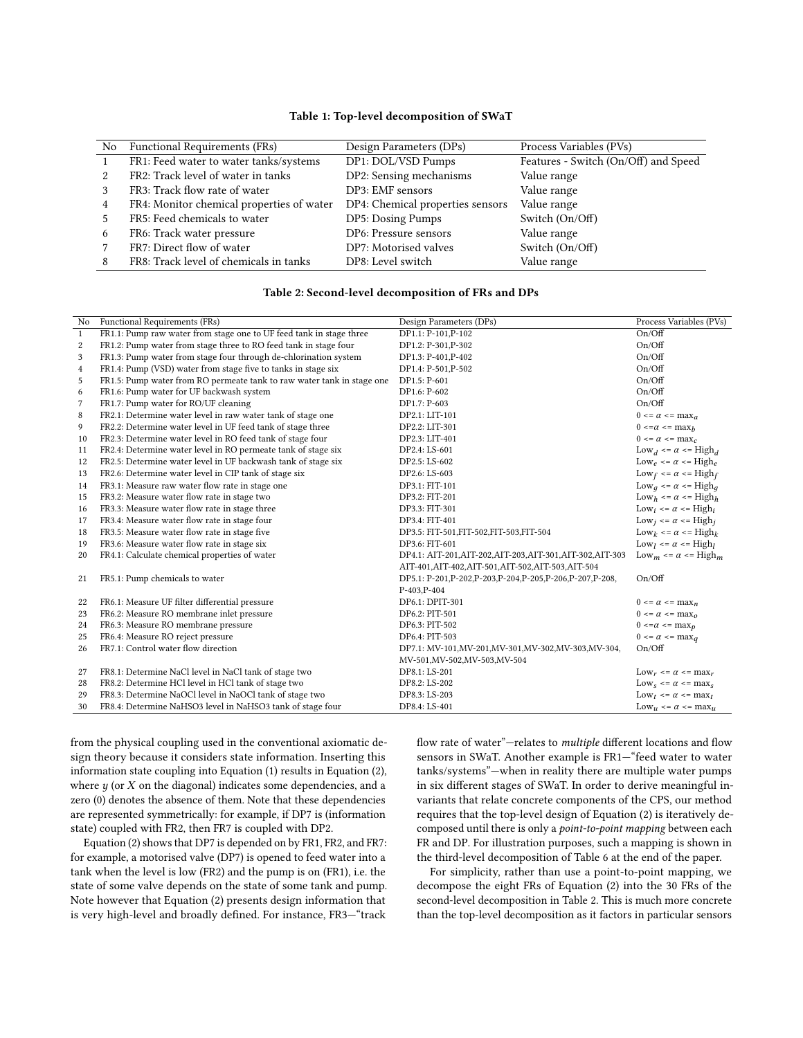<span id="page-4-0"></span>

|   | No Functional Requirements (FRs)          | Design Parameters (DPs)          | Process Variables (PVs)              |
|---|-------------------------------------------|----------------------------------|--------------------------------------|
|   | FR1: Feed water to water tanks/systems    | DP1: DOL/VSD Pumps               | Features - Switch (On/Off) and Speed |
|   | FR2: Track level of water in tanks        | DP2: Sensing mechanisms          | Value range                          |
|   | FR3: Track flow rate of water             | DP3: EMF sensors                 | Value range                          |
| 4 | FR4: Monitor chemical properties of water | DP4: Chemical properties sensors | Value range                          |
|   | FR5: Feed chemicals to water              | DP5: Dosing Pumps                | Switch (On/Off)                      |
| 6 | FR6: Track water pressure                 | DP6: Pressure sensors            | Value range                          |
|   | FR7: Direct flow of water                 | DP7: Motorised valves            | Switch (On/Off)                      |
|   | FR8: Track level of chemicals in tanks    | DP8: Level switch                | Value range                          |

#### Table 1: Top-level decomposition of SWaT

## Table 2: Second-level decomposition of FRs and DPs

<span id="page-4-1"></span>

| No | Functional Requirements (FRs)                                          | Design Parameters (DPs)                                        | Process Variables (PVs)                           |
|----|------------------------------------------------------------------------|----------------------------------------------------------------|---------------------------------------------------|
| 1  | FR1.1: Pump raw water from stage one to UF feed tank in stage three    | DP1.1: P-101, P-102                                            | On/Off                                            |
| 2  | FR1.2: Pump water from stage three to RO feed tank in stage four       | DP1.2: P-301, P-302                                            | On/Off                                            |
| 3  | FR1.3: Pump water from stage four through de-chlorination system       | DP1.3: P-401, P-402                                            | On/Off                                            |
| 4  | FR1.4: Pump (VSD) water from stage five to tanks in stage six          | DP1.4: P-501, P-502                                            | On/Off                                            |
| 5  | FR1.5: Pump water from RO permeate tank to raw water tank in stage one | DP1.5: P-601                                                   | On/Off                                            |
| 6  | FR1.6: Pump water for UF backwash system                               | DP1.6: P-602                                                   | On/Off                                            |
| 7  | FR1.7: Pump water for RO/UF cleaning                                   | $DP1.7: P-603$                                                 | On/Off                                            |
| 8  | FR2.1: Determine water level in raw water tank of stage one            | DP2.1: LIT-101                                                 | $0 \leq \alpha \leq \max_{a}$                     |
| 9  | FR2.2: Determine water level in UF feed tank of stage three            | DP2.2: LIT-301                                                 | $0 \leq \alpha \leq \max h$                       |
| 10 | FR2.3: Determine water level in RO feed tank of stage four             | DP2.3: LIT-401                                                 | $0 \leq \alpha \leq \max_{c}$                     |
| 11 | FR2.4: Determine water level in RO permeate tank of stage six          | DP2.4: LS-601                                                  | $Low_d \leq \alpha \leq High_d$                   |
| 12 | FR2.5: Determine water level in UF backwash tank of stage six          | DP2.5: LS-602                                                  | $\text{Low}_e \leq \alpha \leq \text{High}_e$     |
| 13 | FR2.6: Determine water level in CIP tank of stage six                  | DP2.6: LS-603                                                  | Low <sub>f</sub> <= $\alpha$ <= High <sub>f</sub> |
| 14 | FR3.1: Measure raw water flow rate in stage one                        | DP3.1: FIT-101                                                 | $\text{Low}_q \leq \alpha \leq \text{High}_q$     |
| 15 | FR3.2: Measure water flow rate in stage two                            | DP3.2: FIT-201                                                 | $Low_h \leq \alpha \leq High_h$                   |
| 16 | FR3.3: Measure water flow rate in stage three                          | DP3.3: FIT-301                                                 | Low <sub>i</sub> <= $\alpha$ <= High <sub>i</sub> |
| 17 | FR3.4: Measure water flow rate in stage four                           | DP3.4: FIT-401                                                 | Low <sub>i</sub> <= $\alpha$ <= High <sub>i</sub> |
| 18 | FR3.5: Measure water flow rate in stage five                           | DP3.5: FIT-501,FIT-502,FIT-503,FIT-504                         | Low <sub>k</sub> <= $\alpha$ <= High <sub>k</sub> |
| 19 | FR3.6: Measure water flow rate in stage six                            | DP3.6: FIT-601                                                 | Low <sub>I</sub> <= $\alpha$ <= High <sub>I</sub> |
| 20 | FR4.1: Calculate chemical properties of water                          | DP4.1: AIT-201, AIT-202, AIT-203, AIT-301, AIT-302, AIT-303    | Low <sub>m</sub> <= $\alpha$ <= High <sub>m</sub> |
|    |                                                                        | AIT-401, AIT-402, AIT-501, AIT-502, AIT-503, AIT-504           |                                                   |
| 21 | FR5.1: Pump chemicals to water                                         | DP5.1: P-201, P-202, P-203, P-204, P-205, P-206, P-207, P-208, | On/Off                                            |
|    |                                                                        | P-403, P-404                                                   |                                                   |
| 22 | FR6.1: Measure UF filter differential pressure                         | DP6.1: DPIT-301                                                | $0 \leq \alpha \leq \max_{n}$                     |
| 23 | FR6.2: Measure RO membrane inlet pressure                              | DP6.2: PIT-501                                                 | $0 \leq \alpha \leq \max_{\alpha}$                |
| 24 | FR6.3: Measure RO membrane pressure                                    | DP6.3: PIT-502                                                 | $0 \leq \alpha \leq \max_{D}$                     |
| 25 | FR6.4: Measure RO reject pressure                                      | DP6.4: PIT-503                                                 | $0 \leq \alpha \leq \max_{q}$                     |
| 26 | FR7.1: Control water flow direction                                    | DP7.1: MV-101, MV-201, MV-301, MV-302, MV-303, MV-304,         | On/Off                                            |
|    |                                                                        | MV-501, MV-502, MV-503, MV-504                                 |                                                   |
| 27 | FR8.1: Determine NaCl level in NaCl tank of stage two                  | DP8.1: LS-201                                                  | $\text{Low}_r \leq \alpha \leq \text{max}_r$      |
| 28 | FR8.2: Determine HCl level in HCl tank of stage two                    | DP8.2: LS-202                                                  | $Low_s \leq \alpha \leq max_s$                    |
| 29 | FR8.3: Determine NaOCl level in NaOCl tank of stage two                | DP8.3: LS-203                                                  | Low <sub>t</sub> <= $\alpha$ <= max <sub>t</sub>  |
| 30 | FR8.4: Determine NaHSO3 level in NaHSO3 tank of stage four             | DP8.4: LS-401                                                  | $\text{Low}_u \leq \alpha \leq \max_u$            |

from the physical coupling used in the conventional axiomatic design theory because it considers state information. Inserting this information state coupling into Equation [\(1\)](#page-3-1) results in Equation [\(2\)](#page-3-2), where  $y$  (or  $X$  on the diagonal) indicates some dependencies, and a zero (0) denotes the absence of them. Note that these dependencies are represented symmetrically: for example, if DP7 is (information state) coupled with FR2, then FR7 is coupled with DP2.

Equation [\(2\)](#page-3-2) shows that DP7 is depended on by FR1, FR2, and FR7: for example, a motorised valve (DP7) is opened to feed water into a tank when the level is low (FR2) and the pump is on (FR1), i.e. the state of some valve depends on the state of some tank and pump. Note however that Equation [\(2\)](#page-3-2) presents design information that is very high-level and broadly defined. For instance, FR3—"track

flow rate of water"—relates to multiple different locations and flow sensors in SWaT. Another example is FR1—"feed water to water tanks/systems"—when in reality there are multiple water pumps in six different stages of SWaT. In order to derive meaningful invariants that relate concrete components of the CPS, our method requires that the top-level design of Equation [\(2\)](#page-3-2) is iteratively decomposed until there is only a point-to-point mapping between each FR and DP. For illustration purposes, such a mapping is shown in the third-level decomposition of Table [6](#page-11-1) at the end of the paper.

For simplicity, rather than use a point-to-point mapping, we decompose the eight FRs of Equation [\(2\)](#page-3-2) into the 30 FRs of the second-level decomposition in Table [2.](#page-4-1) This is much more concrete than the top-level decomposition as it factors in particular sensors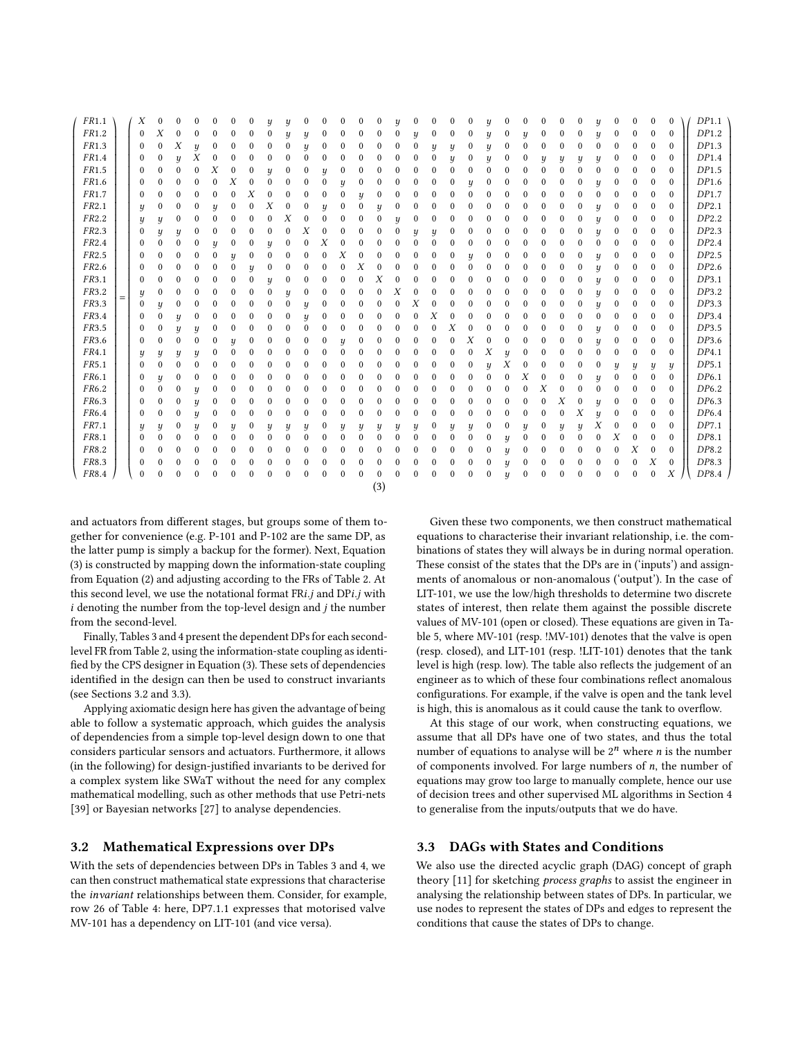<span id="page-5-0"></span>

| FR1.1             |     | Х            | 0        | 0        |                  | 0                |              |                            |                  | y            | 0            | 0                | 0                | 0                |              |   | 0            | 0            | $\theta$         | 0                | y                          |                  |          | 0           | 0                | 0                | $\boldsymbol{y}$ | 0           |                  |                  | 0                | DP1.1 |
|-------------------|-----|--------------|----------|----------|------------------|------------------|--------------|----------------------------|------------------|--------------|--------------|------------------|------------------|------------------|--------------|---|--------------|--------------|------------------|------------------|----------------------------|------------------|----------|-------------|------------------|------------------|------------------|-------------|------------------|------------------|------------------|-------|
| FR1.2             |     | $\Omega$     | Χ        | 0        | 0                | $\bf{0}$         | 0            |                            |                  | y            | y            | 0                | 0                | 0                | 0            |   | y            | 0            | 0                | $\bf{0}$         | y                          | 0                | y        | 0           | 0                | $\boldsymbol{0}$ | $\boldsymbol{y}$ | 0           | $\mathbf{0}$     | $\mathbf{0}$     | $\Omega$         | DP1.2 |
| FR1.3             |     | $\Omega$     | 0        | Х        | $\boldsymbol{y}$ | $\bf{0}$         |              |                            |                  | $\mathbf{0}$ | y            | $\theta$         | $\mathbf{0}$     | 0                |              |   | $\Omega$     | y            | y                | $\bf{0}$         | y                          | 0                |          | $\Omega$    | 0                | $\mathbf{0}$     | $\theta$         | $\Omega$    | $\mathbf{0}$     | $\mathbf{0}$     | $\mathbf{0}$     | DP1.3 |
| FR1.4             |     | $\bf{0}$     | 0        | y        | Χ                | $\bf{0}$         | 0            | 0                          |                  | 0            | $\mathbf{0}$ | $\bf{0}$         | $\Omega$         | 0                |              |   | 0            | 0            | y                | $\bf{0}$         | y                          | 0                |          | y           | y                | y                | $\boldsymbol{y}$ | 0           | 0                | $\mathbf{0}$     | $\theta$         | DP1.4 |
| FR1.5             |     | 0            | 0        | $\bf{0}$ | $\Omega$         | Х                | $\theta$     | 0                          | $\boldsymbol{u}$ | 0            | $\bf{0}$     | y                | $\mathbf 0$      | 0                | 0            |   | 0            | $\bf{0}$     | $\Omega$         | $\mathbf{0}$     | $\mathbf{0}$               | $\mathbf{0}$     | $\Omega$ | $\theta$    | 0                | $\mathbf{0}$     | $\mathbf{0}$     | $\mathbf 0$ | $\boldsymbol{0}$ | $\mathbf{0}$     | $\mathbf{0}$     | DP1.5 |
| FR1.6             |     | $\mathbf{0}$ | 0        | $\bf{0}$ | $\mathbf{0}$     | $\mathbf{0}$     | Х            |                            |                  | 0            | $\bf{0}$     | $\mathbf{0}$     | $\boldsymbol{y}$ | $\mathbf{0}$     | 0            |   | 0            | $\bf{0}$     | $\mathbf{0}$     | $\boldsymbol{y}$ | $\bf{0}$                   | 0                |          | 0           | 0                | $\mathbf{0}$     | $\boldsymbol{y}$ | $\mathbf 0$ | $\mathbf{0}$     | $\mathbf{0}$     | $\Omega$         | DP1.6 |
| FR1.7             |     | $\bf{0}$     | 0        | $\bf{0}$ | 0                | 0                | 0            | Х                          |                  | 0            | 0            | $\mathbf{0}$     | $\mathbf{0}$     | ч                | 0            |   | 0            | $\bf{0}$     | $\mathbf{0}$     | $\mathbf{0}$     | $\mathbf{0}$               | 0                |          | 0           | $\bf{0}$         | $\mathbf{0}$     | $\mathbf{0}$     | $\mathbf 0$ | $\boldsymbol{0}$ | $\mathbf{0}$     | $\mathbf{0}$     | DP1.7 |
| FR2.1             |     | y            | 0        | $\bf{0}$ | 0                | ц                | 0            | 0                          | Х                | $\bf{0}$     | 0            | $\boldsymbol{y}$ | $\boldsymbol{0}$ | 0                | ц            |   | 0            | 0            | $\mathbf{0}$     | $\bf{0}$         | $\mathbf 0$                | 0                |          | 0           | $\boldsymbol{0}$ | $\boldsymbol{0}$ | $\boldsymbol{y}$ | 0           | $\boldsymbol{0}$ | $\mathbf{0}$     | $\mathbf{0}$     | DP2.1 |
| FR2.2             |     | Ч            | y        | 0        | $\theta$         | $\mathbf{0}$     | 0            | 0                          |                  | Х            | $\theta$     | $\Omega$         | $\Omega$         | $\Omega$         | 0            | ц | 0            | 0            | $\boldsymbol{0}$ | $\bf{0}$         | $\mathbf 0$                | 0                |          | $\theta$    | 0                | $\boldsymbol{0}$ | $\boldsymbol{y}$ | 0           | $\boldsymbol{0}$ | $\mathbf{0}$     | $\Omega$         | DP2.2 |
| FR2.3             |     | $\Omega$     | y        | y        | $\theta$         | $\theta$         | 0            | 0                          |                  | 0            | Х            | $\theta$         | $\Omega$         | 0                |              | 0 | ц            | y            | $\bf{0}$         | $\bf{0}$         | 0                          |                  |          | 0           | 0                | $\mathbf{0}$     | $\boldsymbol{y}$ | $\Omega$    | $\bf{0}$         | $\Omega$         | $\theta$         | DP2.3 |
| FR <sub>2.4</sub> |     | $\bf{0}$     | $\bf{0}$ | $\bf{0}$ | 0                | y                | 0            | 0                          | ч                | 0            | 0            | Х                | $\Omega$         | 0                |              |   | $\mathbf{0}$ | $\mathbf{0}$ | $\mathbf{0}$     | $\bf{0}$         | $\bf{0}$                   | 0                |          | 0           | 0                | $\Omega$         | $\Omega$         | 0           | $\bf{0}$         | $\mathbf{0}$     | $\Omega$         | DP2.4 |
| FR <sub>2.5</sub> |     | $\bf{0}$     | 0        | 0        | $\theta$         | $\mathbf{0}$     | y            | $\boldsymbol{0}$           |                  | 0            | 0            | $\Omega$         | Х                | $\Omega$         |              |   | 0            | 0            | $\bf{0}$         | y                | 0                          | 0                |          | 0           | 0                | $\boldsymbol{0}$ | y                | 0           | $\bf{0}$         | $\mathbf{0}$     | $\mathbf{0}$     | DP2.5 |
| FR2.6             |     | $\mathbf{0}$ | $\bf{0}$ | $\bf{0}$ | 0                | $\mathbf{0}$     | $\mathbf{0}$ | $\boldsymbol{\mathcal{U}}$ |                  | $\bf{0}$     | $\bf{0}$     | $\mathbf{0}$     | $\mathbf{0}$     | Х                |              |   | 0            | $\mathbf{0}$ | $\Omega$         | $\Omega$         | $\mathbf 0$                | 0                |          | 0           | 0                | $\boldsymbol{0}$ | $\boldsymbol{y}$ | $\mathbf 0$ | $\boldsymbol{0}$ | $\mathbf{0}$     | $\mathbf{0}$     | DP2.6 |
| FR3.1             |     | $\mathbf{0}$ | $\bf{0}$ | $\bf{0}$ | $\Omega$         | $\mathbf{0}$     | 0            | 0                          | ц                | 0            | $\bf{0}$     | $\theta$         | $\mathbf 0$      | 0                | Х            |   | $\Omega$     | $\bf{0}$     | 0                | $\mathbf{0}$     | $\mathbf 0$                | $\boldsymbol{0}$ | 0        | 0           | 0                | $\mathbf{0}$     | $\boldsymbol{y}$ | 0           | $\boldsymbol{0}$ | $\mathbf{0}$     | $\mathbf{0}$     | DP3.1 |
| FR3.2             |     | y            | 0        | 0        | $\Omega$         | $\Omega$         |              |                            |                  | y            | $\bf{0}$     | $\theta$         | $\mathbf{0}$     | $\mathbf{0}$     |              | Х | $\Omega$     | $\bf{0}$     | $\Omega$         | $\mathbf{0}$     | $\Omega$                   |                  |          | 0           | $\Omega$         | $\mathbf{0}$     | $\boldsymbol{y}$ | 0           | $\bf{0}$         | $\mathbf{0}$     | $\theta$         | DP3.2 |
| FR3.3             | $=$ | $\mathbf{0}$ | y        | $\bf{0}$ | $\mathbf{0}$     | $\mathbf{0}$     | 0            |                            |                  | 0            | y            | 0                | 0                | 0                |              |   | Х            | $\bf{0}$     | $\mathbf{0}$     | $\mathbf{0}$     | $\mathbf 0$                |                  |          | 0           | 0                | $\mathbf{0}$     | $\boldsymbol{y}$ | 0           | $\mathbf{0}$     | $\mathbf{0}$     | $\Omega$         | DP3.3 |
| FR3.4             |     | $\Omega$     | 0        | y        | $\bf{0}$         | $\mathbf{0}$     | 0            | 0                          |                  | 0            | y            | $\theta$         | $\mathbf 0$      | 0                | 0            |   | 0            | Х            | $\bf{0}$         | $\bf{0}$         | $\mathbf 0$                | 0                |          | 0           | 0                | $\boldsymbol{0}$ | $\mathbf{0}$     | 0           | $\mathbf{0}$     | $\mathbf{0}$     | $\mathbf{0}$     | DP3.4 |
| FR3.5             |     | $\bf{0}$     | 0        | y        | y                | $\boldsymbol{0}$ | 0            | 0                          |                  | $\theta$     | $\mathbf{0}$ | $\theta$         | $\bf{0}$         | $\Omega$         |              |   | 0            | 0            | Χ                | $\bf{0}$         | 0                          | 0                |          | $\theta$    | $\bf{0}$         | $\boldsymbol{0}$ | $\boldsymbol{y}$ | 0           | 0                | $\mathbf{0}$     | $\mathbf{0}$     | DP3.5 |
| FR3.6             |     | $\Omega$     | 0        | $\bf{0}$ | $\boldsymbol{0}$ | 0                | ц            | 0                          |                  | 0            | 0            | 0                | $\boldsymbol{y}$ | 0                |              |   | 0            | 0            | $\theta$         | Χ                | 0                          | 0                |          | 0           | 0                | $\bf{0}$         | $\boldsymbol{y}$ | 0           | $\mathbf{0}$     | $\mathbf{0}$     | $\mathbf{0}$     | DP3.6 |
| FR4.1             |     | y            | y        | y        | y                | 0                | 0            | 0                          |                  | 0            | 0            | $\bf{0}$         | $\mathbf{0}$     | $\Omega$         | 0            |   | 0            | 0            | 0                | $\bf{0}$         | Χ                          | y                |          | 0           | 0                | $\mathbf{0}$     | $\Omega$         | 0           | $\bf{0}$         | $\mathbf{0}$     | $\mathbf{0}$     | DP4.1 |
| FR5.1             |     | $\theta$     | $\bf{0}$ | $\bf{0}$ | $\Omega$         | $\mathbf{0}$     | 0            | 0                          |                  | 0            | 0            | 0                | $\Omega$         | 0                |              |   | 0            | $\bf{0}$     | $\mathbf{0}$     | $\bf{0}$         | $\boldsymbol{\mathcal{U}}$ | Х                | 0        | 0           | $\bf{0}$         | $\bf{0}$         | $\mathbf 0$      | y           | y                | $\boldsymbol{y}$ | y                | DP5.1 |
| FR6.1             |     | $\bf{0}$     | y        | 0        | $\theta$         | $\mathbf{0}$     | 0            |                            |                  | $\theta$     | $\bf{0}$     | $\theta$         | $\Omega$         | 0                | 0            |   | 0            | 0            | 0                | $\mathbf{0}$     | $\mathbf 0$                | $\mathbf{0}$     | Х        | $\Omega$    | $\bf{0}$         | $\mathbf{0}$     | $\boldsymbol{y}$ | $\mathbf 0$ | $\boldsymbol{0}$ | $\mathbf{0}$     | $\mathbf{0}$     | DP6.1 |
| FR6.2             |     | $\mathbf{0}$ | 0        | 0        | y                | $\bf{0}$         | 0            | 0                          |                  | 0            | $\bf{0}$     | $\theta$         | $\mathbf 0$      | $\Omega$         |              |   | 0            | 0            | 0                | $\mathbf{0}$     | $\mathbf 0$                | 0                | $\Omega$ | Х           | $\Omega$         | $\bf{0}$         | $\mathbf 0$      | $\theta$    | $\mathbf{0}$     | $\mathbf{0}$     | $\mathbf{0}$     | DP6.2 |
| FR6.3             |     | $\mathbf{0}$ | $\bf{0}$ | $\bf{0}$ | $\boldsymbol{y}$ | $\mathbf{0}$     | 0            | 0                          |                  | 0            | 0            | 0                | $\mathbf 0$      | 0                | 0            |   | 0            | 0            | 0                | $\mathbf{0}$     | $\mathbf 0$                | 0                |          | $\mathbf 0$ | Х                | $\mathbf{0}$     | $\boldsymbol{y}$ | 0           | $\Omega$         | $\mathbf{0}$     | $\mathbf{0}$     | DP6.3 |
| FR6.4             |     | $\bf{0}$     | 0        | $\bf{0}$ | y                | $\bf{0}$         | 0            | 0                          | 0                | $\Omega$     | 0            | $\mathbf{0}$     | $\bf{0}$         | $\boldsymbol{0}$ | 0            |   | 0            | 0            | 0                | $\bf{0}$         | 0                          | 0                |          | 0           | 0                | X                | $\boldsymbol{y}$ | 0           | $\mathbf{0}$     | $\mathbf{0}$     | $\theta$         | DP6.4 |
| FR7.1             |     | y            | y        | 0        | y                | $\bf{0}$         | ц            | 0                          |                  | y            | y            | 0                | $\boldsymbol{y}$ | y                | y            | ц | ц            | 0            | y                | y                | 0                          | 0                | y        | 0           | y                | $\boldsymbol{y}$ | Χ                | $\Omega$    | $\mathbf{0}$     | $\mathbf{0}$     | $\mathbf{0}$     | DP7.1 |
| FR8.1             |     | $\Omega$     | $\theta$ | 0        | $\Omega$         | $\Omega$         |              | 0                          |                  | $\Omega$     | $\bf{0}$     | $\bf{0}$         | $\Omega$         | $\mathbf{0}$     |              |   | 0            | $\bf{0}$     | $\Omega$         | $\mathbf{0}$     | $\mathbf 0$                | $\boldsymbol{y}$ |          | $\theta$    | $\Omega$         | $\Omega$         | $\Omega$         | Х           | $\mathbf{0}$     | $\Omega$         | $\Omega$         | DP8.1 |
| FR8.2             |     | $\Omega$     | 0        | 0        | 0                | $\Omega$         | 0            |                            |                  | 0            | 0            | $\theta$         | $\Omega$         | 0                |              |   | 0            | 0            | $\theta$         | $\mathbf{0}$     | $\mathbf 0$                | ц                | $\Omega$ | 0           | 0                | $\Omega$         | $\Omega$         | $\mathbf 0$ | Х                | $\boldsymbol{0}$ | $\mathbf{0}$     | DP8.2 |
| FR8.3             |     | $\mathbf{0}$ | 0        | $\bf{0}$ | $\mathbf{0}$     | $\mathbf{0}$     | 0            | 0                          |                  | $\bf{0}$     | $\bf{0}$     | $\bf{0}$         | $\mathbf{0}$     | $\Omega$         | 0            |   | 0            | $\bf{0}$     | $\mathbf{0}$     | $\mathbf{0}$     | $\mathbf{0}$               | $\boldsymbol{y}$ | $\Omega$ | 0           | 0                | $\mathbf{0}$     | $\mathbf{0}$     | $\mathbf 0$ | $\boldsymbol{0}$ | Х                | $\mathbf{0}$     | DP8.3 |
| FR8.4             |     | $\bf{0}$     | 0        | $\bf{0}$ | $\Omega$         | $\mathbf{0}$     | 0            | 0                          |                  | $\Omega$     | $\bf{0}$     | $\mathbf{0}$     | $\mathbf{0}$     | $\mathbf{0}$     | $\mathbf{0}$ |   | $\mathbf{0}$ | $\bf{0}$     | $\Omega$         | $\Omega$         | 0                          | y                |          | 0           | 0                | $\mathbf{0}$     | $\mathbf{0}$     | $\Omega$    | $\mathbf{0}$     | $\mathbf{0}$     | $\boldsymbol{X}$ | DP8.4 |
|                   |     |              |          |          |                  |                  |              |                            |                  |              |              |                  |                  |                  | (3)          |   |              |              |                  |                  |                            |                  |          |             |                  |                  |                  |             |                  |                  |                  |       |

and actuators from different stages, but groups some of them together for convenience (e.g. P-101 and P-102 are the same DP, as the latter pump is simply a backup for the former). Next, Equation [\(3\)](#page-5-0) is constructed by mapping down the information-state coupling from Equation [\(2\)](#page-3-2) and adjusting according to the FRs of Table [2.](#page-4-1) At this second level, we use the notational format FRi.j and DPi.j with  $i$  denoting the number from the top-level design and  $j$  the number from the second-level.

Finally, Tables [3](#page-6-0) and [4](#page-7-0) present the dependent DPs for each secondlevel FR from Table [2,](#page-4-1) using the information-state coupling as identified by the CPS designer in Equation [\(3\)](#page-5-0). These sets of dependencies identified in the design can then be used to construct invariants (see Sections [3.2](#page-5-1) and [3.3\)](#page-5-2).

Applying axiomatic design here has given the advantage of being able to follow a systematic approach, which guides the analysis of dependencies from a simple top-level design down to one that considers particular sensors and actuators. Furthermore, it allows (in the following) for design-justified invariants to be derived for a complex system like SWaT without the need for any complex mathematical modelling, such as other methods that use Petri-nets [\[39\]](#page-10-23) or Bayesian networks [\[27\]](#page-10-24) to analyse dependencies.

# <span id="page-5-1"></span>3.2 Mathematical Expressions over DPs

With the sets of dependencies between DPs in Tables [3](#page-6-0) and [4,](#page-7-0) we can then construct mathematical state expressions that characterise the invariant relationships between them. Consider, for example, row 26 of Table [4:](#page-7-0) here, DP7.1.1 expresses that motorised valve MV-101 has a dependency on LIT-101 (and vice versa).

Given these two components, we then construct mathematical equations to characterise their invariant relationship, i.e. the combinations of states they will always be in during normal operation. These consist of the states that the DPs are in ('inputs') and assignments of anomalous or non-anomalous ('output'). In the case of LIT-101, we use the low/high thresholds to determine two discrete states of interest, then relate them against the possible discrete values of MV-101 (open or closed). These equations are given in Table [5,](#page-7-1) where MV-101 (resp. !MV-101) denotes that the valve is open (resp. closed), and LIT-101 (resp. !LIT-101) denotes that the tank level is high (resp. low). The table also reflects the judgement of an engineer as to which of these four combinations reflect anomalous configurations. For example, if the valve is open and the tank level is high, this is anomalous as it could cause the tank to overflow.

At this stage of our work, when constructing equations, we assume that all DPs have one of two states, and thus the total number of equations to analyse will be  $2^n$  where *n* is the number<br>of components involved. For large numbers of *n* the number of of components involved. For large numbers of  $n$ , the number of equations may grow too large to manually complete, hence our use of decision trees and other supervised ML algorithms in Section [4](#page-8-0) to generalise from the inputs/outputs that we do have.

## <span id="page-5-2"></span>3.3 DAGs with States and Conditions

We also use the directed acyclic graph (DAG) concept of graph theory [\[11\]](#page-9-24) for sketching process graphs to assist the engineer in analysing the relationship between states of DPs. In particular, we use nodes to represent the states of DPs and edges to represent the conditions that cause the states of DPs to change.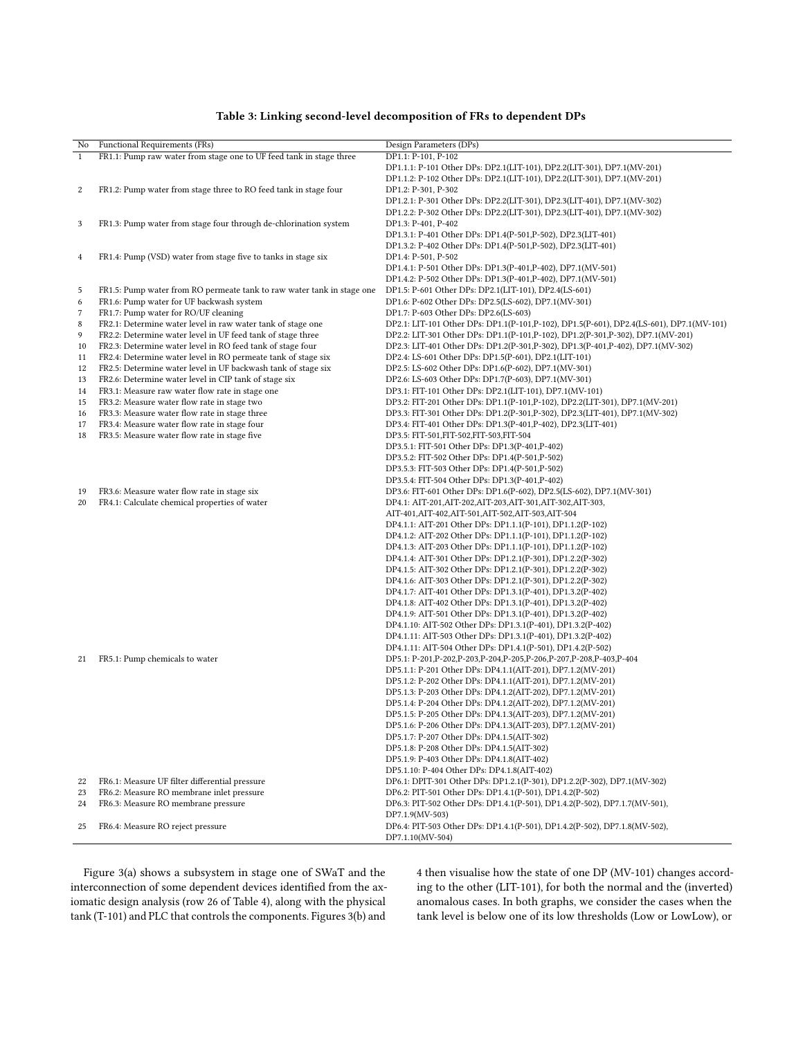<span id="page-6-0"></span>

| No           | Functional Requirements (FRs)                                          | Design Parameters (DPs)                                                                  |
|--------------|------------------------------------------------------------------------|------------------------------------------------------------------------------------------|
| $\mathbf{1}$ | FR1.1: Pump raw water from stage one to UF feed tank in stage three    | DP1.1: P-101, P-102                                                                      |
|              |                                                                        | DP1.1.1: P-101 Other DPs: DP2.1(LIT-101), DP2.2(LIT-301), DP7.1(MV-201)                  |
|              |                                                                        | DP1.1.2: P-102 Other DPs: DP2.1(LIT-101), DP2.2(LIT-301), DP7.1(MV-201)                  |
| $\,2$        | FR1.2: Pump water from stage three to RO feed tank in stage four       | DP1.2: P-301, P-302                                                                      |
|              |                                                                        | DP1.2.1: P-301 Other DPs: DP2.2(LIT-301), DP2.3(LIT-401), DP7.1(MV-302)                  |
|              |                                                                        | DP1.2.2: P-302 Other DPs: DP2.2(LIT-301), DP2.3(LIT-401), DP7.1(MV-302)                  |
| 3            | FR1.3: Pump water from stage four through de-chlorination system       | DP1.3: P-401, P-402                                                                      |
|              |                                                                        | DP1.3.1: P-401 Other DPs: DP1.4(P-501,P-502), DP2.3(LIT-401)                             |
|              |                                                                        | DP1.3.2: P-402 Other DPs: DP1.4(P-501,P-502), DP2.3(LIT-401)                             |
| 4            | FR1.4: Pump (VSD) water from stage five to tanks in stage six          | DP1.4: P-501, P-502                                                                      |
|              |                                                                        | DP1.4.1: P-501 Other DPs: DP1.3(P-401,P-402), DP7.1(MV-501)                              |
|              |                                                                        | DP1.4.2: P-502 Other DPs: DP1.3(P-401,P-402), DP7.1(MV-501)                              |
| 5            | FR1.5: Pump water from RO permeate tank to raw water tank in stage one | DP1.5: P-601 Other DPs: DP2.1(LIT-101), DP2.4(LS-601)                                    |
| 6            | FR1.6: Pump water for UF backwash system                               | DP1.6: P-602 Other DPs: DP2.5(LS-602), DP7.1(MV-301)                                     |
| 7            | FR1.7: Pump water for RO/UF cleaning                                   | DP1.7: P-603 Other DPs: DP2.6(LS-603)                                                    |
| 8            | FR2.1: Determine water level in raw water tank of stage one            | DP2.1: LIT-101 Other DPs: DP1.1(P-101,P-102), DP1.5(P-601), DP2.4(LS-601), DP7.1(MV-101) |
| 9            | FR2.2: Determine water level in UF feed tank of stage three            | DP2.2: LIT-301 Other DPs: DP1.1(P-101,P-102), DP1.2(P-301,P-302), DP7.1(MV-201)          |
| 10           | FR2.3: Determine water level in RO feed tank of stage four             | DP2.3: LIT-401 Other DPs: DP1.2(P-301,P-302), DP1.3(P-401,P-402), DP7.1(MV-302)          |
| 11           | FR2.4: Determine water level in RO permeate tank of stage six          | DP2.4: LS-601 Other DPs: DP1.5(P-601), DP2.1(LIT-101)                                    |
| 12           | FR2.5: Determine water level in UF backwash tank of stage six          | DP2.5: LS-602 Other DPs: DP1.6(P-602), DP7.1(MV-301)                                     |
| 13           | FR2.6: Determine water level in CIP tank of stage six                  | DP2.6: LS-603 Other DPs: DP1.7(P-603), DP7.1(MV-301)                                     |
| 14           | FR3.1: Measure raw water flow rate in stage one                        | DP3.1: FIT-101 Other DPs: DP2.1(LIT-101), DP7.1(MV-101)                                  |
| 15           | FR3.2: Measure water flow rate in stage two                            | DP3.2: FIT-201 Other DPs: DP1.1(P-101,P-102), DP2.2(LIT-301), DP7.1(MV-201)              |
| 16           | FR3.3: Measure water flow rate in stage three                          | DP3.3: FIT-301 Other DPs: DP1.2(P-301,P-302), DP2.3(LIT-401), DP7.1(MV-302)              |
| 17           | FR3.4: Measure water flow rate in stage four                           | DP3.4: FIT-401 Other DPs: DP1.3(P-401,P-402), DP2.3(LIT-401)                             |
| 18           | FR3.5: Measure water flow rate in stage five                           | DP3.5: FIT-501, FIT-502, FIT-503, FIT-504                                                |
|              |                                                                        | DP3.5.1: FIT-501 Other DPs: DP1.3(P-401,P-402)                                           |
|              |                                                                        | DP3.5.2: FIT-502 Other DPs: DP1.4(P-501,P-502)                                           |
|              |                                                                        | DP3.5.3: FIT-503 Other DPs: DP1.4(P-501,P-502)                                           |
|              |                                                                        | DP3.5.4: FIT-504 Other DPs: DP1.3(P-401,P-402)                                           |
| 19           | FR3.6: Measure water flow rate in stage six                            | DP3.6: FIT-601 Other DPs: DP1.6(P-602), DP2.5(LS-602), DP7.1(MV-301)                     |
| 20           | FR4.1: Calculate chemical properties of water                          | DP4.1: AIT-201, AIT-202, AIT-203, AIT-301, AIT-302, AIT-303,                             |
|              |                                                                        | AIT-401, AIT-402, AIT-501, AIT-502, AIT-503, AIT-504                                     |
|              |                                                                        | DP4.1.1: AIT-201 Other DPs: DP1.1.1(P-101), DP1.1.2(P-102)                               |
|              |                                                                        | DP4.1.2: AIT-202 Other DPs: DP1.1.1(P-101), DP1.1.2(P-102)                               |
|              |                                                                        | DP4.1.3: AIT-203 Other DPs: DP1.1.1(P-101), DP1.1.2(P-102)                               |
|              |                                                                        | DP4.1.4: AIT-301 Other DPs: DP1.2.1(P-301), DP1.2.2(P-302)                               |
|              |                                                                        | DP4.1.5: AIT-302 Other DPs: DP1.2.1(P-301), DP1.2.2(P-302)                               |
|              |                                                                        | DP4.1.6: AIT-303 Other DPs: DP1.2.1(P-301), DP1.2.2(P-302)                               |
|              |                                                                        | DP4.1.7: AIT-401 Other DPs: DP1.3.1(P-401), DP1.3.2(P-402)                               |
|              |                                                                        | DP4.1.8: AIT-402 Other DPs: DP1.3.1(P-401), DP1.3.2(P-402)                               |
|              |                                                                        | DP4.1.9: AIT-501 Other DPs: DP1.3.1(P-401), DP1.3.2(P-402)                               |
|              |                                                                        | DP4.1.10: AIT-502 Other DPs: DP1.3.1(P-401), DP1.3.2(P-402)                              |
|              |                                                                        | DP4.1.11: AIT-503 Other DPs: DP1.3.1(P-401), DP1.3.2(P-402)                              |
|              |                                                                        | DP4.1.11: AIT-504 Other DPs: DP1.4.1(P-501), DP1.4.2(P-502)                              |
| 21           | FR5.1: Pump chemicals to water                                         | DP5.1: P-201,P-202,P-203,P-204,P-205,P-206,P-207,P-208,P-403,P-404                       |
|              |                                                                        | DP5.1.1: P-201 Other DPs: DP4.1.1(AIT-201), DP7.1.2(MV-201)                              |
|              |                                                                        | DP5.1.2: P-202 Other DPs: DP4.1.1(AIT-201), DP7.1.2(MV-201)                              |
|              |                                                                        | DP5.1.3: P-203 Other DPs: DP4.1.2(AIT-202), DP7.1.2(MV-201)                              |
|              |                                                                        | DP5.1.4: P-204 Other DPs: DP4.1.2(AIT-202), DP7.1.2(MV-201)                              |
|              |                                                                        | DP5.1.5: P-205 Other DPs: DP4.1.3(AIT-203), DP7.1.2(MV-201)                              |
|              |                                                                        | DP5.1.6: P-206 Other DPs: DP4.1.3(AIT-203), DP7.1.2(MV-201)                              |
|              |                                                                        | DP5.1.7: P-207 Other DPs: DP4.1.5(AIT-302)                                               |
|              |                                                                        | DP5.1.8: P-208 Other DPs: DP4.1.5(AIT-302)                                               |
|              |                                                                        | DP5.1.9: P-403 Other DPs: DP4.1.8(AIT-402)                                               |
|              |                                                                        | DP5.1.10: P-404 Other DPs: DP4.1.8(AIT-402)                                              |
| 22           | FR6.1: Measure UF filter differential pressure                         | DP6.1: DPIT-301 Other DPs: DP1.2.1(P-301), DP1.2.2(P-302), DP7.1(MV-302)                 |
| 23           | FR6.2: Measure RO membrane inlet pressure                              | DP6.2: PIT-501 Other DPs: DP1.4.1(P-501), DP1.4.2(P-502)                                 |
| 24           | FR6.3: Measure RO membrane pressure                                    | DP6.3: PIT-502 Other DPs: DP1.4.1(P-501), DP1.4.2(P-502), DP7.1.7(MV-501),               |
|              |                                                                        | DP7.1.9(MV-503)                                                                          |
| 25           | FR6.4: Measure RO reject pressure                                      | DP6.4: PIT-503 Other DPs: DP1.4.1(P-501), DP1.4.2(P-502), DP7.1.8(MV-502),               |
|              |                                                                        | DP7.1.10(MV-504)                                                                         |

## Table 3: Linking second-level decomposition of FRs to dependent DPs

Figure [3\(](#page-7-2)a) shows a subsystem in stage one of SWaT and the interconnection of some dependent devices identified from the axiomatic design analysis (row 26 of Table [4\)](#page-7-0), along with the physical tank (T-101) and PLC that controls the components. Figures [3\(](#page-7-2)b) and

[4](#page-8-1) then visualise how the state of one DP (MV-101) changes according to the other (LIT-101), for both the normal and the (inverted) anomalous cases. In both graphs, we consider the cases when the tank level is below one of its low thresholds (Low or LowLow), or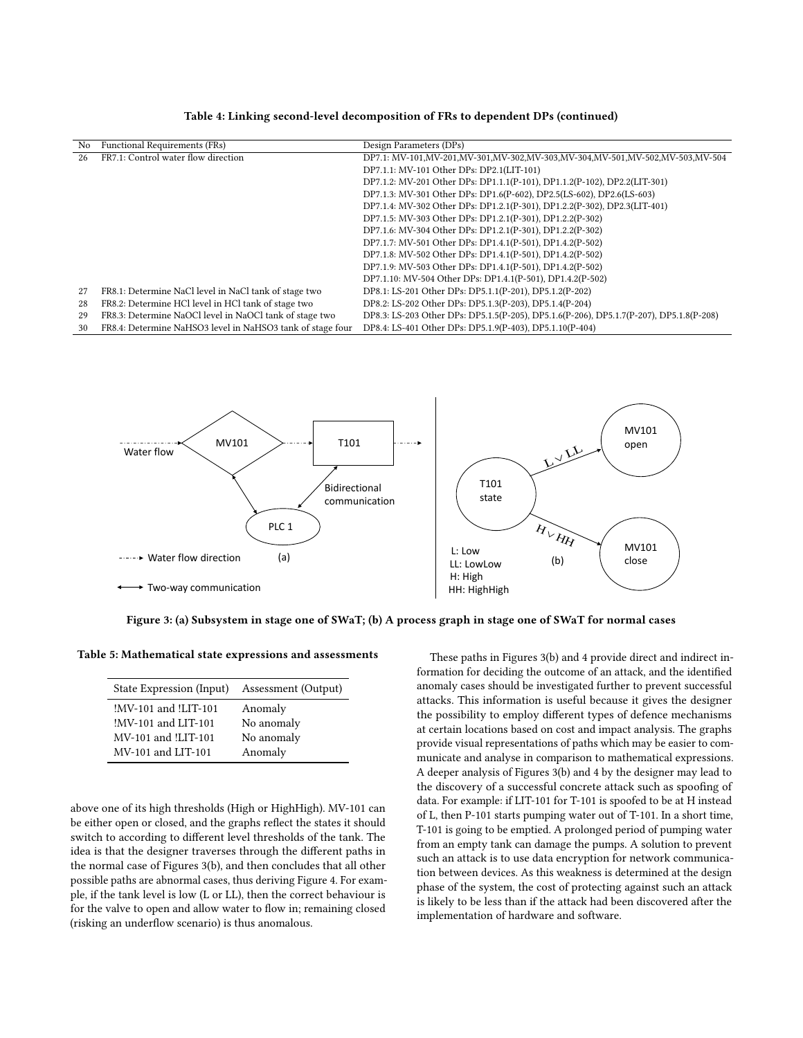<span id="page-7-0"></span>

| No. | Functional Requirements (FRs)                              | Design Parameters (DPs)                                                                 |
|-----|------------------------------------------------------------|-----------------------------------------------------------------------------------------|
| 26  | FR7.1: Control water flow direction                        | DP7.1: MV-101,MV-201,MV-301,MV-302,MV-303,MV-304,MV-501,MV-502,MV-503,MV-504            |
|     |                                                            | DP7.1.1: MV-101 Other DPs: DP2.1(LIT-101)                                               |
|     |                                                            | DP7.1.2: MV-201 Other DPs: DP1.1.1(P-101), DP1.1.2(P-102), DP2.2(LIT-301)               |
|     |                                                            | DP7.1.3: MV-301 Other DPs: DP1.6(P-602), DP2.5(LS-602), DP2.6(LS-603)                   |
|     |                                                            | DP7.1.4: MV-302 Other DPs: DP1.2.1(P-301), DP1.2.2(P-302), DP2.3(LIT-401)               |
|     |                                                            | DP7.1.5: MV-303 Other DPs: DP1.2.1(P-301), DP1.2.2(P-302)                               |
|     |                                                            | DP7.1.6: MV-304 Other DPs: DP1.2.1(P-301), DP1.2.2(P-302)                               |
|     |                                                            | DP7.1.7: MV-501 Other DPs: DP1.4.1(P-501), DP1.4.2(P-502)                               |
|     |                                                            | DP7.1.8: MV-502 Other DPs: DP1.4.1(P-501), DP1.4.2(P-502)                               |
|     |                                                            | DP7.1.9: MV-503 Other DPs: DP1.4.1(P-501), DP1.4.2(P-502)                               |
|     |                                                            | DP7.1.10: MV-504 Other DPs: DP1.4.1(P-501), DP1.4.2(P-502)                              |
| 27  | FR8.1: Determine NaCl level in NaCl tank of stage two      | DP8.1: LS-201 Other DPs: DP5.1.1(P-201), DP5.1.2(P-202)                                 |
| 28  | FR8.2: Determine HCl level in HCl tank of stage two        | DP8.2: LS-202 Other DPs: DP5.1.3(P-203), DP5.1.4(P-204)                                 |
| 29  | FR8.3: Determine NaOCl level in NaOCl tank of stage two    | DP8.3: LS-203 Other DPs: DP5.1.5(P-205), DP5.1.6(P-206), DP5.1.7(P-207), DP5.1.8(P-208) |
| 30  | FR8.4: Determine NaHSO3 level in NaHSO3 tank of stage four | DP8.4: LS-401 Other DPs: DP5.1.9(P-403), DP5.1.10(P-404)                                |

Table 4: Linking second-level decomposition of FRs to dependent DPs (continued)

<span id="page-7-2"></span>

Figure 3: (a) Subsystem in stage one of SWaT; (b) A process graph in stage one of SWaT for normal cases

<span id="page-7-1"></span>Table 5: Mathematical state expressions and assessments

| State Expression (Input) | Assessment (Output) |
|--------------------------|---------------------|
| !MV-101 and !LIT-101     | Anomaly             |
| !MV-101 and LIT-101      | No anomaly          |
| MV-101 and !LIT-101      | No anomaly          |
| MV-101 and LIT-101       | Anomaly             |
|                          |                     |

above one of its high thresholds (High or HighHigh). MV-101 can be either open or closed, and the graphs reflect the states it should switch to according to different level thresholds of the tank. The idea is that the designer traverses through the different paths in the normal case of Figures [3\(](#page-7-2)b), and then concludes that all other possible paths are abnormal cases, thus deriving Figure [4.](#page-8-1) For example, if the tank level is low (L or LL), then the correct behaviour is for the valve to open and allow water to flow in; remaining closed (risking an underflow scenario) is thus anomalous.

These paths in Figures [3\(](#page-7-2)b) and [4](#page-8-1) provide direct and indirect information for deciding the outcome of an attack, and the identified anomaly cases should be investigated further to prevent successful attacks. This information is useful because it gives the designer the possibility to employ different types of defence mechanisms at certain locations based on cost and impact analysis. The graphs provide visual representations of paths which may be easier to communicate and analyse in comparison to mathematical expressions. A deeper analysis of Figures [3\(](#page-7-2)b) and [4](#page-8-1) by the designer may lead to the discovery of a successful concrete attack such as spoofing of data. For example: if LIT-101 for T-101 is spoofed to be at H instead of L, then P-101 starts pumping water out of T-101. In a short time, T-101 is going to be emptied. A prolonged period of pumping water from an empty tank can damage the pumps. A solution to prevent such an attack is to use data encryption for network communication between devices. As this weakness is determined at the design phase of the system, the cost of protecting against such an attack is likely to be less than if the attack had been discovered after the implementation of hardware and software.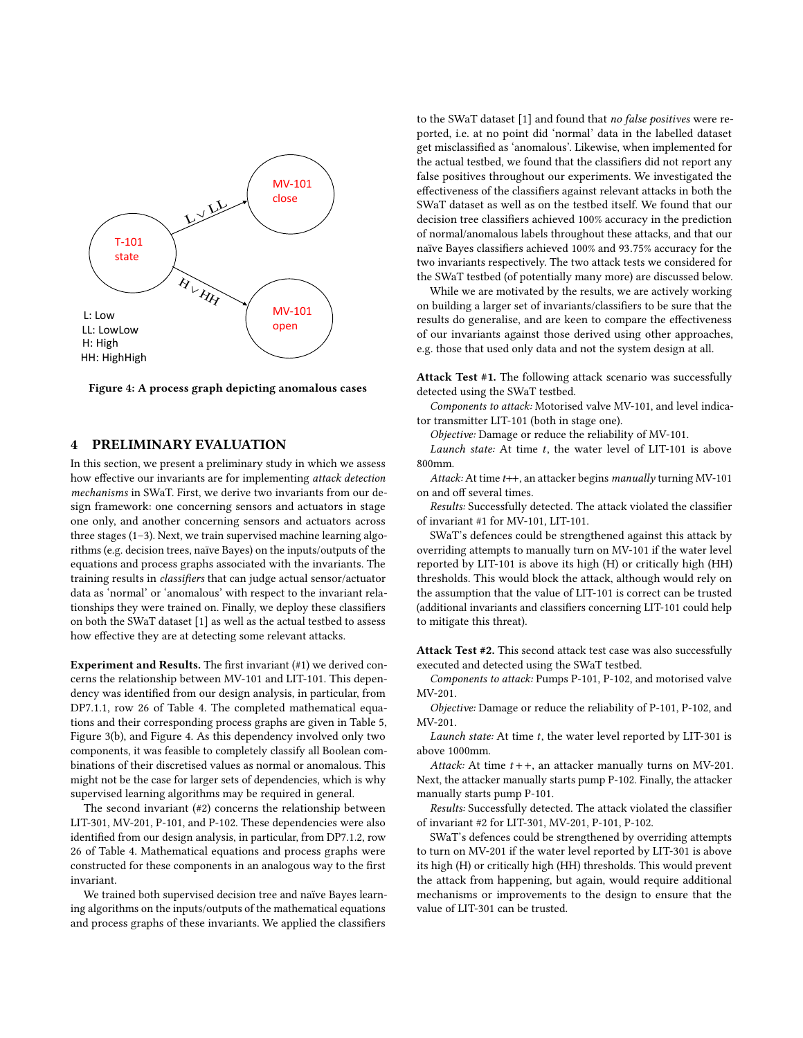<span id="page-8-1"></span>

Figure 4: A process graph depicting anomalous cases

# <span id="page-8-0"></span>4 PRELIMINARY EVALUATION

In this section, we present a preliminary study in which we assess how effective our invariants are for implementing attack detection mechanisms in SWaT. First, we derive two invariants from our design framework: one concerning sensors and actuators in stage one only, and another concerning sensors and actuators across three stages (1–3). Next, we train supervised machine learning algorithms (e.g. decision trees, naïve Bayes) on the inputs/outputs of the equations and process graphs associated with the invariants. The training results in classifiers that can judge actual sensor/actuator data as 'normal' or 'anomalous' with respect to the invariant relationships they were trained on. Finally, we deploy these classifiers on both the SWaT dataset [\[1\]](#page-9-22) as well as the actual testbed to assess how effective they are at detecting some relevant attacks.

Experiment and Results. The first invariant (#1) we derived concerns the relationship between MV-101 and LIT-101. This dependency was identified from our design analysis, in particular, from DP7.1.1, row 26 of Table [4.](#page-7-0) The completed mathematical equations and their corresponding process graphs are given in Table [5,](#page-7-1) Figure [3\(](#page-7-2)b), and Figure [4.](#page-8-1) As this dependency involved only two components, it was feasible to completely classify all Boolean combinations of their discretised values as normal or anomalous. This might not be the case for larger sets of dependencies, which is why supervised learning algorithms may be required in general.

The second invariant (#2) concerns the relationship between LIT-301, MV-201, P-101, and P-102. These dependencies were also identified from our design analysis, in particular, from DP7.1.2, row 26 of Table [4.](#page-7-0) Mathematical equations and process graphs were constructed for these components in an analogous way to the first invariant.

We trained both supervised decision tree and naïve Bayes learning algorithms on the inputs/outputs of the mathematical equations and process graphs of these invariants. We applied the classifiers

to the SWaT dataset [\[1\]](#page-9-22) and found that no false positives were reported, i.e. at no point did 'normal' data in the labelled dataset get misclassified as 'anomalous'. Likewise, when implemented for the actual testbed, we found that the classifiers did not report any false positives throughout our experiments. We investigated the effectiveness of the classifiers against relevant attacks in both the SWaT dataset as well as on the testbed itself. We found that our decision tree classifiers achieved 100% accuracy in the prediction of normal/anomalous labels throughout these attacks, and that our naïve Bayes classifiers achieved 100% and <sup>93</sup>.75% accuracy for the two invariants respectively. The two attack tests we considered for the SWaT testbed (of potentially many more) are discussed below.

While we are motivated by the results, we are actively working on building a larger set of invariants/classifiers to be sure that the results do generalise, and are keen to compare the effectiveness of our invariants against those derived using other approaches, e.g. those that used only data and not the system design at all.

Attack Test #1. The following attack scenario was successfully detected using the SWaT testbed.

Components to attack: Motorised valve MV-101, and level indicator transmitter LIT-101 (both in stage one).

Objective: Damage or reduce the reliability of MV-101.

Launch state: At time  $t$ , the water level of LIT-101 is above 800mm.

Attack: At time t++, an attacker begins manually turning MV-101 on and off several times.

Results: Successfully detected. The attack violated the classifier of invariant #1 for MV-101, LIT-101.

SWaT's defences could be strengthened against this attack by overriding attempts to manually turn on MV-101 if the water level reported by LIT-101 is above its high (H) or critically high (HH) thresholds. This would block the attack, although would rely on the assumption that the value of LIT-101 is correct can be trusted (additional invariants and classifiers concerning LIT-101 could help to mitigate this threat).

Attack Test #2. This second attack test case was also successfully executed and detected using the SWaT testbed.

Components to attack: Pumps P-101, P-102, and motorised valve MV-201.

Objective: Damage or reduce the reliability of P-101, P-102, and MV-201.

Launch state: At time  $t$ , the water level reported by LIT-301 is above 1000mm.

Attack: At time  $t + +$ , an attacker manually turns on MV-201. Next, the attacker manually starts pump P-102. Finally, the attacker manually starts pump P-101.

Results: Successfully detected. The attack violated the classifier of invariant #2 for LIT-301, MV-201, P-101, P-102.

SWaT's defences could be strengthened by overriding attempts to turn on MV-201 if the water level reported by LIT-301 is above its high (H) or critically high (HH) thresholds. This would prevent the attack from happening, but again, would require additional mechanisms or improvements to the design to ensure that the value of LIT-301 can be trusted.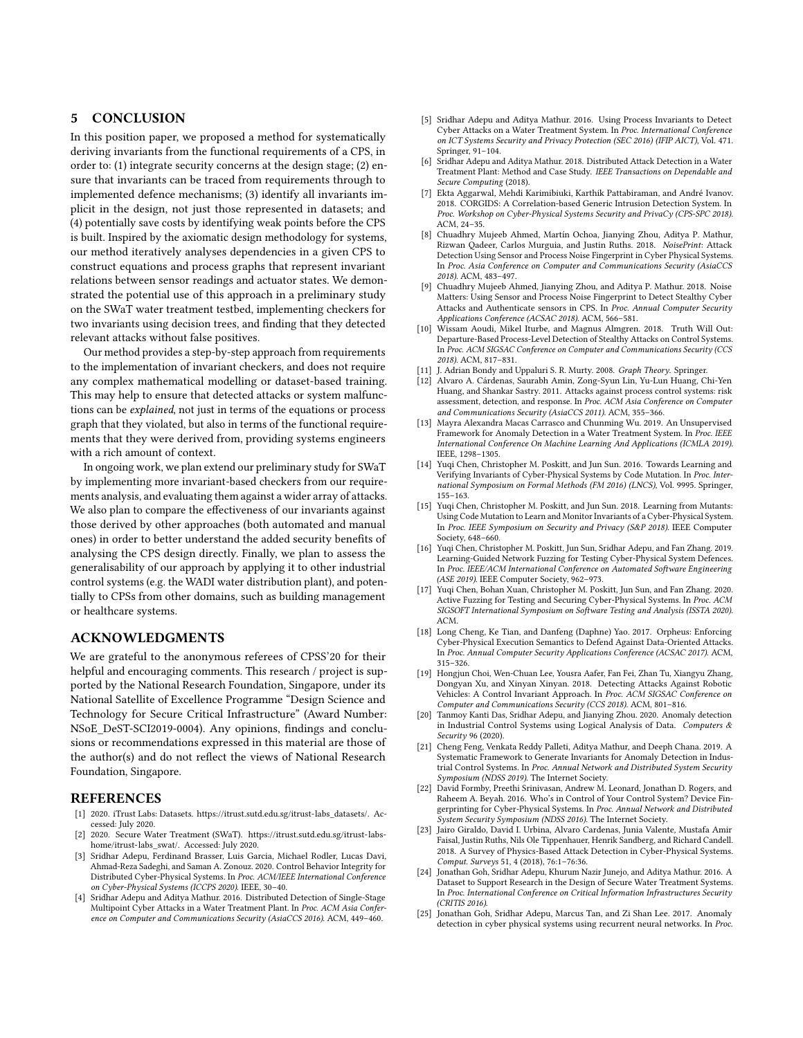# <span id="page-9-21"></span>5 CONCLUSION

In this position paper, we proposed a method for systematically deriving invariants from the functional requirements of a CPS, in order to: (1) integrate security concerns at the design stage; (2) ensure that invariants can be traced from requirements through to implemented defence mechanisms; (3) identify all invariants implicit in the design, not just those represented in datasets; and (4) potentially save costs by identifying weak points before the CPS is built. Inspired by the axiomatic design methodology for systems, our method iteratively analyses dependencies in a given CPS to construct equations and process graphs that represent invariant relations between sensor readings and actuator states. We demonstrated the potential use of this approach in a preliminary study on the SWaT water treatment testbed, implementing checkers for two invariants using decision trees, and finding that they detected relevant attacks without false positives.

Our method provides a step-by-step approach from requirements to the implementation of invariant checkers, and does not require any complex mathematical modelling or dataset-based training. This may help to ensure that detected attacks or system malfunctions can be explained, not just in terms of the equations or process graph that they violated, but also in terms of the functional requirements that they were derived from, providing systems engineers with a rich amount of context.

In ongoing work, we plan extend our preliminary study for SWaT by implementing more invariant-based checkers from our requirements analysis, and evaluating them against a wider array of attacks. We also plan to compare the effectiveness of our invariants against those derived by other approaches (both automated and manual ones) in order to better understand the added security benefits of analysing the CPS design directly. Finally, we plan to assess the generalisability of our approach by applying it to other industrial control systems (e.g. the WADI water distribution plant), and potentially to CPSs from other domains, such as building management or healthcare systems.

## ACKNOWLEDGMENTS

We are grateful to the anonymous referees of CPSS'20 for their helpful and encouraging comments. This research / project is supported by the National Research Foundation, Singapore, under its National Satellite of Excellence Programme "Design Science and Technology for Secure Critical Infrastructure" (Award Number: NSoE\_DeST-SCI2019-0004). Any opinions, findings and conclusions or recommendations expressed in this material are those of the author(s) and do not reflect the views of National Research Foundation, Singapore.

## REFERENCES

- <span id="page-9-22"></span>[1] 2020. iTrust Labs: Datasets. [https://itrust.sutd.edu.sg/itrust-labs\\_datasets/.](https://itrust.sutd.edu.sg/itrust-labs_datasets/) Accessed: July 2020.
- <span id="page-9-20"></span>[2] 2020. Secure Water Treatment (SWaT). [https://itrust.sutd.edu.sg/itrust-labs](https://itrust.sutd.edu.sg/itrust-labs-home/itrust-labs_swat/)[home/itrust-labs\\_swat/.](https://itrust.sutd.edu.sg/itrust-labs-home/itrust-labs_swat/) Accessed: July 2020.
- <span id="page-9-0"></span>[3] Sridhar Adepu, Ferdinand Brasser, Luis Garcia, Michael Rodler, Lucas Davi, Ahmad-Reza Sadeghi, and Saman A. Zonouz. 2020. Control Behavior Integrity for Distributed Cyber-Physical Systems. In Proc. ACM/IEEE International Conference on Cyber-Physical Systems (ICCPS 2020). IEEE, 30–40.
- <span id="page-9-16"></span>[4] Sridhar Adepu and Aditya Mathur. 2016. Distributed Detection of Single-Stage Multipoint Cyber Attacks in a Water Treatment Plant. In Proc. ACM Asia Conference on Computer and Communications Security (AsiaCCS 2016). ACM, 449–460.
- [5] Sridhar Adepu and Aditya Mathur. 2016. Using Process Invariants to Detect Cyber Attacks on a Water Treatment System. In Proc. International Conference on ICT Systems Security and Privacy Protection (SEC 2016) (IFIP AICT), Vol. 471. Springer, 91–104.
- <span id="page-9-17"></span>[6] Sridhar Adepu and Aditya Mathur. 2018. Distributed Attack Detection in a Water Treatment Plant: Method and Case Study. IEEE Transactions on Dependable and Secure Computing (2018).
- <span id="page-9-1"></span>[7] Ekta Aggarwal, Mehdi Karimibiuki, Karthik Pattabiraman, and André Ivanov. 2018. CORGIDS: A Correlation-based Generic Intrusion Detection System. In Proc. Workshop on Cyber-Physical Systems Security and PrivaCy (CPS-SPC 2018). ACM, 24–35.
- <span id="page-9-7"></span>[8] Chuadhry Mujeeb Ahmed, Martín Ochoa, Jianying Zhou, Aditya P. Mathur, Rizwan Qadeer, Carlos Murguia, and Justin Ruths. 2018. NoisePrint: Attack Detection Using Sensor and Process Noise Fingerprint in Cyber Physical Systems. In Proc. Asia Conference on Computer and Communications Security (AsiaCCS 2018). ACM, 483–497.
- <span id="page-9-8"></span>[9] Chuadhry Mujeeb Ahmed, Jianying Zhou, and Aditya P. Mathur. 2018. Noise Matters: Using Sensor and Process Noise Fingerprint to Detect Stealthy Cyber Attacks and Authenticate sensors in CPS. In Proc. Annual Computer Security Applications Conference (ACSAC 2018). ACM, 566–581.
- <span id="page-9-2"></span>[10] Wissam Aoudi, Mikel Iturbe, and Magnus Almgren. 2018. Truth Will Out: Departure-Based Process-Level Detection of Stealthy Attacks on Control Systems. In Proc. ACM SIGSAC Conference on Computer and Communications Security (CCS 2018). ACM, 817–831.
- <span id="page-9-24"></span>[11] J. Adrian Bondy and Uppaluri S. R. Murty. 2008. Graph Theory. Springer.
- <span id="page-9-18"></span>[12] Alvaro A. Cárdenas, Saurabh Amin, Zong-Syun Lin, Yu-Lun Huang, Chi-Yen Huang, and Shankar Sastry. 2011. Attacks against process control systems: risk assessment, detection, and response. In Proc. ACM Asia Conference on Computer and Communications Security (AsiaCCS 2011). ACM, 355–366.
- <span id="page-9-3"></span>[13] Mayra Alexandra Macas Carrasco and Chunming Wu. 2019. An Unsupervised Framework for Anomaly Detection in a Water Treatment System. In Proc. IEEE International Conference On Machine Learning And Applications (ICMLA 2019). IEEE, 1298–1305.
- <span id="page-9-13"></span>[14] Yuqi Chen, Christopher M. Poskitt, and Jun Sun. 2016. Towards Learning and Verifying Invariants of Cyber-Physical Systems by Code Mutation. In Proc. International Symposium on Formal Methods (FM 2016) (LNCS), Vol. 9995. Springer, 155–163.
- <span id="page-9-14"></span>[15] Yuqi Chen, Christopher M. Poskitt, and Jun Sun. 2018. Learning from Mutants: Using Code Mutation to Learn and Monitor Invariants of a Cyber-Physical System. In Proc. IEEE Symposium on Security and Privacy (S&P 2018). IEEE Computer Society, 648–660.
- <span id="page-9-10"></span>[16] Yuqi Chen, Christopher M. Poskitt, Jun Sun, Sridhar Adepu, and Fan Zhang. 2019. Learning-Guided Network Fuzzing for Testing Cyber-Physical System Defences. In Proc. IEEE/ACM International Conference on Automated Software Engineering (ASE 2019). IEEE Computer Society, 962–973.
- <span id="page-9-11"></span>[17] Yuqi Chen, Bohan Xuan, Christopher M. Poskitt, Jun Sun, and Fan Zhang. 2020. Active Fuzzing for Testing and Securing Cyber-Physical Systems. In Proc. ACM SIGSOFT International Symposium on Software Testing and Analysis (ISSTA 2020). ACM.
- <span id="page-9-4"></span>[18] Long Cheng, Ke Tian, and Danfeng (Daphne) Yao. 2017. Orpheus: Enforcing Cyber-Physical Execution Semantics to Defend Against Data-Oriented Attacks. In Proc. Annual Computer Security Applications Conference (ACSAC 2017). ACM, 315–326.
- <span id="page-9-19"></span>[19] Hongjun Choi, Wen-Chuan Lee, Yousra Aafer, Fan Fei, Zhan Tu, Xiangyu Zhang, Dongyan Xu, and Xinyan Xinyan. 2018. Detecting Attacks Against Robotic Vehicles: A Control Invariant Approach. In Proc. ACM SIGSAC Conference on Computer and Communications Security (CCS 2018). ACM, 801–816.
- <span id="page-9-5"></span>[20] Tanmoy Kanti Das, Sridhar Adepu, and Jianying Zhou. 2020. Anomaly detection in Industrial Control Systems using Logical Analysis of Data. Computers & Security 96 (2020).
- <span id="page-9-15"></span>[21] Cheng Feng, Venkata Reddy Palleti, Aditya Mathur, and Deeph Chana. 2019. A Systematic Framework to Generate Invariants for Anomaly Detection in Industrial Control Systems. In Proc. Annual Network and Distributed System Security Symposium (NDSS 2019). The Internet Society.
- <span id="page-9-9"></span>[22] David Formby, Preethi Srinivasan, Andrew M. Leonard, Jonathan D. Rogers, and Raheem A. Beyah. 2016. Who's in Control of Your Control System? Device Fingerprinting for Cyber-Physical Systems. In Proc. Annual Network and Distributed System Security Symposium (NDSS 2016). The Internet Society.
- <span id="page-9-12"></span>[23] Jairo Giraldo, David I. Urbina, Alvaro Cardenas, Junia Valente, Mustafa Amir Faisal, Justin Ruths, Nils Ole Tippenhauer, Henrik Sandberg, and Richard Candell. 2018. A Survey of Physics-Based Attack Detection in Cyber-Physical Systems. Comput. Surveys 51, 4 (2018), 76:1–76:36.
- <span id="page-9-23"></span>[24] Jonathan Goh, Sridhar Adepu, Khurum Nazir Junejo, and Aditya Mathur. 2016. A Dataset to Support Research in the Design of Secure Water Treatment Systems. In Proc. International Conference on Critical Information Infrastructures Security (CRITIS 2016).
- <span id="page-9-6"></span>[25] Jonathan Goh, Sridhar Adepu, Marcus Tan, and Zi Shan Lee. 2017. Anomaly detection in cyber physical systems using recurrent neural networks. In Proc.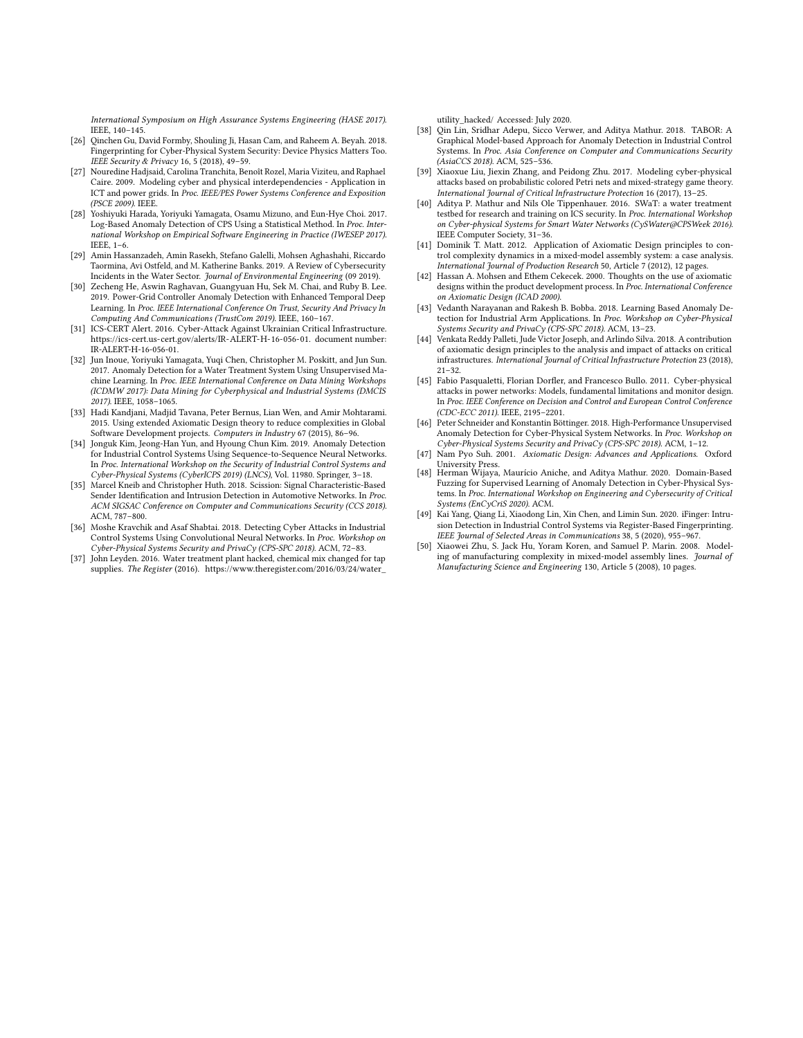International Symposium on High Assurance Systems Engineering (HASE 2017). IEEE, 140–145.

- <span id="page-10-12"></span>[26] Qinchen Gu, David Formby, Shouling Ji, Hasan Cam, and Raheem A. Beyah. 2018. Fingerprinting for Cyber-Physical System Security: Device Physics Matters Too. IEEE Security & Privacy 16, 5 (2018), 49–59.
- <span id="page-10-24"></span>[27] Nouredine Hadjsaid, Carolina Tranchita, Benoît Rozel, Maria Viziteu, and Raphael Caire. 2009. Modeling cyber and physical interdependencies - Application in ICT and power grids. In Proc. IEEE/PES Power Systems Conference and Exposition (PSCE 2009). IEEE.
- <span id="page-10-3"></span>[28] Yoshiyuki Harada, Yoriyuki Yamagata, Osamu Mizuno, and Eun-Hye Choi. 2017. Log-Based Anomaly Detection of CPS Using a Statistical Method. In Proc. International Workshop on Empirical Software Engineering in Practice (IWESEP 2017). IEEE, 1–6.
- <span id="page-10-0"></span>[29] Amin Hassanzadeh, Amin Rasekh, Stefano Galelli, Mohsen Aghashahi, Riccardo Taormina, Avi Ostfeld, and M. Katherine Banks. 2019. A Review of Cybersecurity Incidents in the Water Sector. Journal of Environmental Engineering (09 2019).
- <span id="page-10-4"></span>[30] Zecheng He, Aswin Raghavan, Guangyuan Hu, Sek M. Chai, and Ruby B. Lee. 2019. Power-Grid Controller Anomaly Detection with Enhanced Temporal Deep Learning. In Proc. IEEE International Conference On Trust, Security And Privacy In Computing And Communications (TrustCom 2019). IEEE, 160–167.
- <span id="page-10-1"></span>[31] ICS-CERT Alert. 2016. Cyber-Attack Against Ukrainian Critical Infrastructure. [https://ics-cert.us-cert.gov/alerts/IR-ALERT-H-16-056-01.](https://ics-cert.us-cert.gov/alerts/IR-ALERT-H-16-056-01) document number: IR-ALERT-H-16-056-01.
- <span id="page-10-5"></span>[32] Jun Inoue, Yoriyuki Yamagata, Yuqi Chen, Christopher M. Poskitt, and Jun Sun. 2017. Anomaly Detection for a Water Treatment System Using Unsupervised Machine Learning. In Proc. IEEE International Conference on Data Mining Workshops (ICDMW 2017): Data Mining for Cyberphysical and Industrial Systems (DMCIS 2017). IEEE, 1058–1065.
- <span id="page-10-21"></span>[33] Hadi Kandjani, Madjid Tavana, Peter Bernus, Lian Wen, and Amir Mohtarami. 2015. Using extended Axiomatic Design theory to reduce complexities in Global Software Development projects. Computers in Industry 67 (2015), 86–96.
- <span id="page-10-6"></span>[34] Jonguk Kim, Jeong-Han Yun, and Hyoung Chun Kim. 2019. Anomaly Detection for Industrial Control Systems Using Sequence-to-Sequence Neural Networks. In Proc. International Workshop on the Security of Industrial Control Systems and Cyber-Physical Systems (CyberICPS 2019) (LNCS), Vol. 11980. Springer, 3–18.
- <span id="page-10-13"></span>[35] Marcel Kneib and Christopher Huth. 2018. Scission: Signal Characteristic-Based Sender Identification and Intrusion Detection in Automotive Networks. In Proc. ACM SIGSAC Conference on Computer and Communications Security (CCS 2018). ACM, 787–800.
- <span id="page-10-7"></span>[36] Moshe Kravchik and Asaf Shabtai. 2018. Detecting Cyber Attacks in Industrial Control Systems Using Convolutional Neural Networks. In Proc. Workshop on Cyber-Physical Systems Security and PrivaCy (CPS-SPC 2018). ACM, 72–83.
- <span id="page-10-2"></span>[37] John Leyden. 2016. Water treatment plant hacked, chemical mix changed for tap supplies. The Register (2016). [https://www.theregister.com/2016/03/24/water\\_](https://www.theregister.com/2016/03/24/water_utility_hacked/)

[utility\\_hacked/](https://www.theregister.com/2016/03/24/water_utility_hacked/) Accessed: July 2020.

- <span id="page-10-8"></span>[38] Qin Lin, Sridhar Adepu, Sicco Verwer, and Aditya Mathur. 2018. TABOR: A Graphical Model-based Approach for Anomaly Detection in Industrial Control Systems. In Proc. Asia Conference on Computer and Communications Security (AsiaCCS 2018). ACM, 525–536.
- <span id="page-10-23"></span>[39] Xiaoxue Liu, Jiexin Zhang, and Peidong Zhu. 2017. Modeling cyber-physical attacks based on probabilistic colored Petri nets and mixed-strategy game theory. International Journal of Critical Infrastructure Protection 16 (2017), 13–25.
- <span id="page-10-17"></span>[40] Aditya P. Mathur and Nils Ole Tippenhauer. 2016. SWaT: a water treatment testbed for research and training on ICS security. In Proc. International Workshop on Cyber-physical Systems for Smart Water Networks (CySWater@CPSWeek 2016). IEEE Computer Society, 31–36.
- <span id="page-10-19"></span>[41] Dominik T. Matt. 2012. Application of Axiomatic Design principles to control complexity dynamics in a mixed-model assembly system: a case analysis. International Journal of Production Research 50, Article 7 (2012), 12 pages.
- <span id="page-10-22"></span>[42] Hassan A. Mohsen and Ethem Cekecek. 2000. Thoughts on the use of axiomatic designs within the product development process. In Proc. International Conference on Axiomatic Design (ICAD 2000).
- <span id="page-10-9"></span>[43] Vedanth Narayanan and Rakesh B. Bobba. 2018. Learning Based Anomaly Detection for Industrial Arm Applications. In Proc. Workshop on Cyber-Physical Systems Security and PrivaCy (CPS-SPC 2018). ACM, 13–23.
- <span id="page-10-18"></span>Venkata Reddy Palleti, Jude Victor Joseph, and Arlindo Silva. 2018. A contribution of axiomatic design principles to the analysis and impact of attacks on critical infrastructures. International Journal of Critical Infrastructure Protection 23 (2018), 21–32.
- <span id="page-10-10"></span>[45] Fabio Pasqualetti, Florian Dorfler, and Francesco Bullo. 2011. Cyber-physical attacks in power networks: Models, fundamental limitations and monitor design. In Proc. IEEE Conference on Decision and Control and European Control Conference (CDC-ECC 2011). IEEE, 2195–2201.
- <span id="page-10-11"></span>[46] Peter Schneider and Konstantin Böttinger. 2018. High-Performance Unsupervised Anomaly Detection for Cyber-Physical System Networks. In Proc. Workshop on Cyber-Physical Systems Security and PrivaCy (CPS-SPC 2018). ACM, 1–12.
- <span id="page-10-16"></span>[47] Nam Pyo Suh. 2001. Axiomatic Design: Advances and Applications. Oxford University Press.
- <span id="page-10-15"></span>[48] Herman Wijaya, Maurício Aniche, and Aditya Mathur. 2020. Domain-Based Fuzzing for Supervised Learning of Anomaly Detection in Cyber-Physical Systems. In Proc. International Workshop on Engineering and Cybersecurity of Critical Systems (EnCyCriS 2020). ACM.
- <span id="page-10-14"></span>[49] Kai Yang, Qiang Li, Xiaodong Lin, Xin Chen, and Limin Sun. 2020. iFinger: Intrusion Detection in Industrial Control Systems via Register-Based Fingerprinting. IEEE Journal of Selected Areas in Communications 38, 5 (2020), 955–967.
- <span id="page-10-20"></span>[50] Xiaowei Zhu, S. Jack Hu, Yoram Koren, and Samuel P. Marin. 2008. Modeling of manufacturing complexity in mixed-model assembly lines. Journal of Manufacturing Science and Engineering 130, Article 5 (2008), 10 pages.